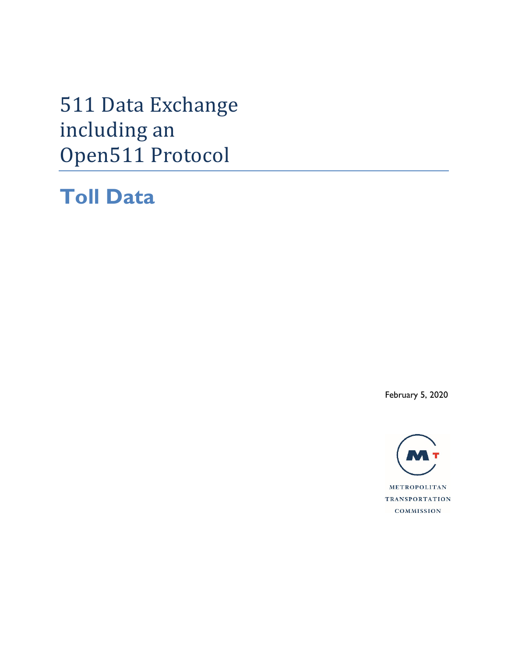511 Data Exchange including an Open511 Protocol

**Toll Data**

February 5, 2020

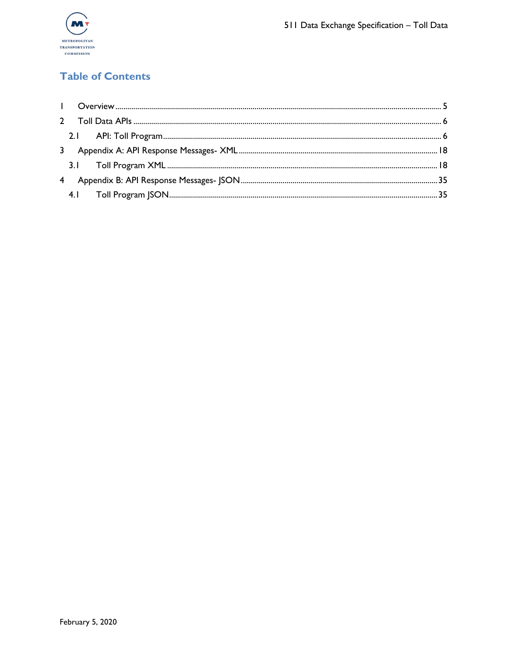

# **Table of Contents**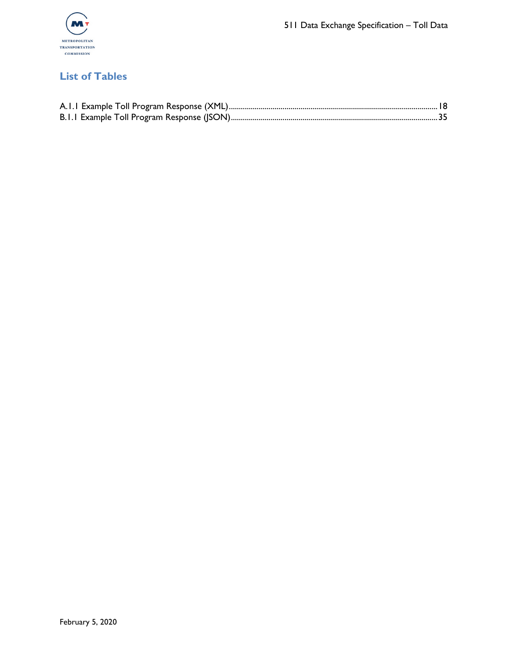

## **List of Tables**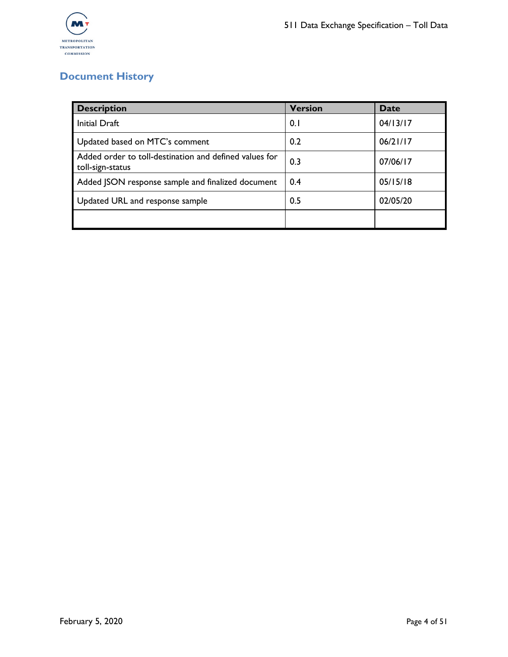

# **Document History**

| <b>Description</b>                                                         | <b>Version</b> | <b>Date</b> |
|----------------------------------------------------------------------------|----------------|-------------|
| Initial Draft                                                              | 0.1            | 04/13/17    |
| Updated based on MTC's comment                                             | 0.2            | 06/21/17    |
| Added order to toll-destination and defined values for<br>toll-sign-status | 0.3            | 07/06/17    |
| Added JSON response sample and finalized document                          | 0.4            | 05/15/18    |
| Updated URL and response sample                                            | 0.5            | 02/05/20    |
|                                                                            |                |             |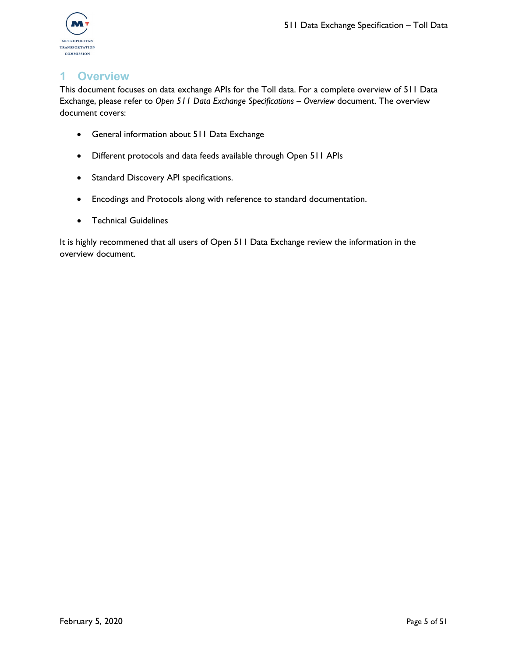

## <span id="page-4-0"></span>**1 Overview**

This document focuses on data exchange APIs for the Toll data. For a complete overview of 511 Data Exchange, please refer to *Open 511 Data Exchange Specifications – Overview* document. The overview document covers:

- General information about 511 Data Exchange
- Different protocols and data feeds available through Open 511 APIs
- Standard Discovery API specifications.
- Encodings and Protocols along with reference to standard documentation.
- Technical Guidelines

It is highly recommened that all users of Open 511 Data Exchange review the information in the overview document.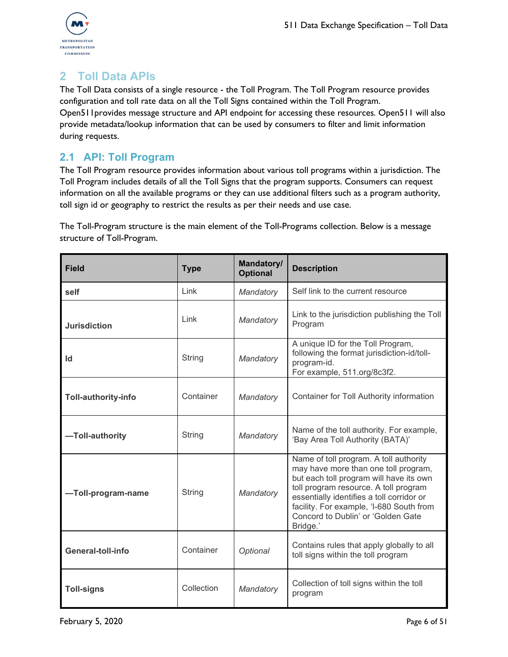

# <span id="page-5-0"></span>**2 Toll Data APIs**

The Toll Data consists of a single resource - the Toll Program. The Toll Program resource provides configuration and toll rate data on all the Toll Signs contained within the Toll Program. Open511provides message structure and API endpoint for accessing these resources. Open511 will also provide metadata/lookup information that can be used by consumers to filter and limit information during requests.

### <span id="page-5-1"></span>**2.1 API: Toll Program**

The Toll Program resource provides information about various toll programs within a jurisdiction. The Toll Program includes details of all the Toll Signs that the program supports. Consumers can request information on all the available programs or they can use additional filters such as a program authority, toll sign id or geography to restrict the results as per their needs and use case.

The Toll-Program structure is the main element of the Toll-Programs collection. Below is a message structure of Toll-Program.

| <b>Field</b>        | <b>Type</b> | <b>Mandatory/</b><br><b>Optional</b> | <b>Description</b>                                                                                                                                                                                                                                                                                            |
|---------------------|-------------|--------------------------------------|---------------------------------------------------------------------------------------------------------------------------------------------------------------------------------------------------------------------------------------------------------------------------------------------------------------|
| self                | Link        | Mandatory                            | Self link to the current resource                                                                                                                                                                                                                                                                             |
| <b>Jurisdiction</b> | Link        | Mandatory                            | Link to the jurisdiction publishing the Toll<br>Program                                                                                                                                                                                                                                                       |
| Id                  | String      | Mandatory                            | A unique ID for the Toll Program,<br>following the format jurisdiction-id/toll-<br>program-id.<br>For example, 511.org/8c3f2.                                                                                                                                                                                 |
| Toll-authority-info | Container   | Mandatory                            | Container for Toll Authority information                                                                                                                                                                                                                                                                      |
| -Toll-authority     | String      | Mandatory                            | Name of the toll authority. For example,<br>'Bay Area Toll Authority (BATA)'                                                                                                                                                                                                                                  |
| -Toll-program-name  | String      | Mandatory                            | Name of toll program. A toll authority<br>may have more than one toll program,<br>but each toll program will have its own<br>toll program resource. A toll program<br>essentially identifies a toll corridor or<br>facility. For example, 'I-680 South from<br>Concord to Dublin' or 'Golden Gate<br>Bridge.' |
| General-toll-info   | Container   | Optional                             | Contains rules that apply globally to all<br>toll signs within the toll program                                                                                                                                                                                                                               |
| <b>Toll-signs</b>   | Collection  | Mandatory                            | Collection of toll signs within the toll<br>program                                                                                                                                                                                                                                                           |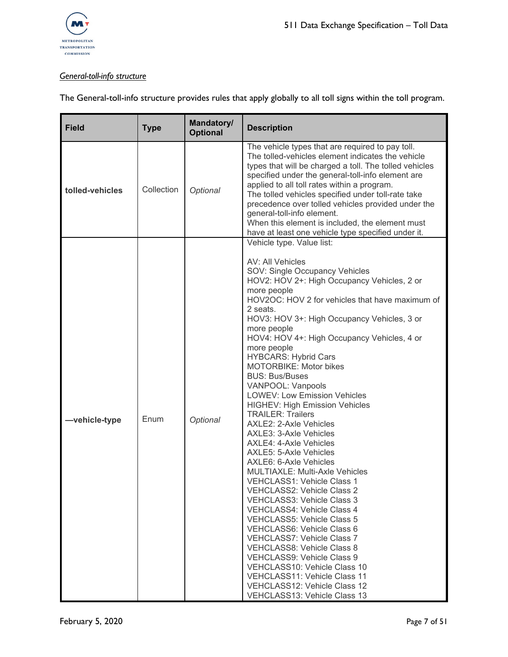

### *General-toll-info structure*

|  | The General-toll-info structure provides rules that apply globally to all toll signs within the toll program. |
|--|---------------------------------------------------------------------------------------------------------------|
|  |                                                                                                               |

| <b>Field</b>    | <b>Type</b> | Mandatory/<br><b>Optional</b> | <b>Description</b>                                                                                                                                                                                                                                                                                                                                                                                                                                                                                                                                                                                                                                                                                                                                                                                                                                                                                                                                                                                                                                                                                                                                                                                           |
|-----------------|-------------|-------------------------------|--------------------------------------------------------------------------------------------------------------------------------------------------------------------------------------------------------------------------------------------------------------------------------------------------------------------------------------------------------------------------------------------------------------------------------------------------------------------------------------------------------------------------------------------------------------------------------------------------------------------------------------------------------------------------------------------------------------------------------------------------------------------------------------------------------------------------------------------------------------------------------------------------------------------------------------------------------------------------------------------------------------------------------------------------------------------------------------------------------------------------------------------------------------------------------------------------------------|
| tolled-vehicles | Collection  | Optional                      | The vehicle types that are required to pay toll.<br>The tolled-vehicles element indicates the vehicle<br>types that will be charged a toll. The tolled vehicles<br>specified under the general-toll-info element are<br>applied to all toll rates within a program.<br>The tolled vehicles specified under toll-rate take<br>precedence over tolled vehicles provided under the<br>general-toll-info element.<br>When this element is included, the element must<br>have at least one vehicle type specified under it.                                                                                                                                                                                                                                                                                                                                                                                                                                                                                                                                                                                                                                                                                       |
| -vehicle-type   | Enum        | Optional                      | Vehicle type. Value list:<br>AV: All Vehicles<br>SOV: Single Occupancy Vehicles<br>HOV2: HOV 2+: High Occupancy Vehicles, 2 or<br>more people<br>HOV2OC: HOV 2 for vehicles that have maximum of<br>2 seats.<br>HOV3: HOV 3+: High Occupancy Vehicles, 3 or<br>more people<br>HOV4: HOV 4+: High Occupancy Vehicles, 4 or<br>more people<br><b>HYBCARS: Hybrid Cars</b><br><b>MOTORBIKE: Motor bikes</b><br><b>BUS: Bus/Buses</b><br>VANPOOL: Vanpools<br><b>LOWEV: Low Emission Vehicles</b><br><b>HIGHEV: High Emission Vehicles</b><br><b>TRAILER: Trailers</b><br>AXLE2: 2-Axle Vehicles<br>AXLE3: 3-Axle Vehicles<br>AXLE4: 4-Axle Vehicles<br>AXLE5: 5-Axle Vehicles<br>AXLE6: 6-Axle Vehicles<br><b>MULTIAXLE: Multi-Axle Vehicles</b><br><b>VEHCLASS1: Vehicle Class 1</b><br><b>VEHCLASS2: Vehicle Class 2</b><br><b>VEHCLASS3: Vehicle Class 3</b><br><b>VEHCLASS4: Vehicle Class 4</b><br><b>VEHCLASS5: Vehicle Class 5</b><br>VEHCLASS6: Vehicle Class 6<br><b>VEHCLASS7: Vehicle Class 7</b><br><b>VEHCLASS8: Vehicle Class 8</b><br>VEHCLASS9: Vehicle Class 9<br>VEHCLASS10: Vehicle Class 10<br>VEHCLASS11: Vehicle Class 11<br>VEHCLASS12: Vehicle Class 12<br>VEHCLASS13: Vehicle Class 13 |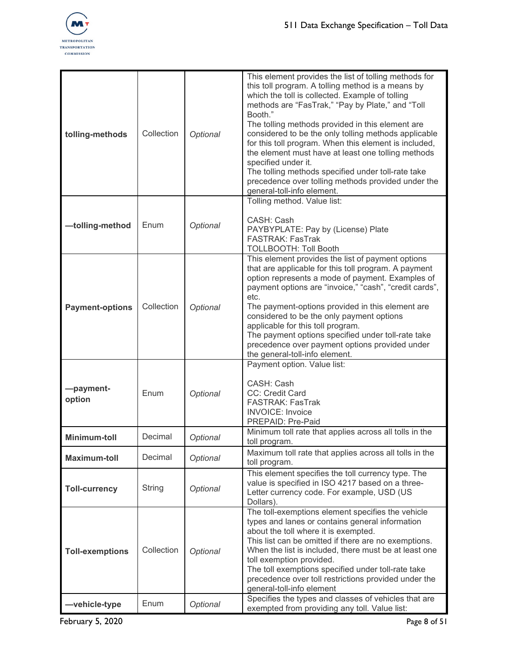

| tolling-methods        | Collection | Optional | This element provides the list of tolling methods for<br>this toll program. A tolling method is a means by<br>which the toll is collected. Example of tolling<br>methods are "FasTrak," "Pay by Plate," and "Toll<br>Booth."<br>The tolling methods provided in this element are<br>considered to be the only tolling methods applicable<br>for this toll program. When this element is included,<br>the element must have at least one tolling methods<br>specified under it.<br>The tolling methods specified under toll-rate take<br>precedence over tolling methods provided under the<br>general-toll-info element. |
|------------------------|------------|----------|--------------------------------------------------------------------------------------------------------------------------------------------------------------------------------------------------------------------------------------------------------------------------------------------------------------------------------------------------------------------------------------------------------------------------------------------------------------------------------------------------------------------------------------------------------------------------------------------------------------------------|
| -tolling-method        | Enum       | Optional | Tolling method. Value list:<br>CASH: Cash<br>PAYBYPLATE: Pay by (License) Plate<br><b>FASTRAK: FasTrak</b><br><b>TOLLBOOTH: Toll Booth</b>                                                                                                                                                                                                                                                                                                                                                                                                                                                                               |
| <b>Payment-options</b> | Collection | Optional | This element provides the list of payment options<br>that are applicable for this toll program. A payment<br>option represents a mode of payment. Examples of<br>payment options are "invoice," "cash", "credit cards",<br>etc.<br>The payment-options provided in this element are<br>considered to be the only payment options<br>applicable for this toll program.<br>The payment options specified under toll-rate take<br>precedence over payment options provided under<br>the general-toll-info element.                                                                                                          |
| -payment-<br>option    | Enum       | Optional | Payment option. Value list:<br>CASH: Cash<br>CC: Credit Card<br><b>FASTRAK: FasTrak</b><br><b>INVOICE:</b> Invoice<br>PREPAID: Pre-Paid                                                                                                                                                                                                                                                                                                                                                                                                                                                                                  |
| <b>Minimum-toll</b>    | Decimal    | Optional | Minimum toll rate that applies across all tolls in the<br>toll program.                                                                                                                                                                                                                                                                                                                                                                                                                                                                                                                                                  |
| <b>Maximum-toll</b>    | Decimal    | Optional | Maximum toll rate that applies across all tolls in the<br>toll program.                                                                                                                                                                                                                                                                                                                                                                                                                                                                                                                                                  |
| <b>Toll-currency</b>   | String     | Optional | This element specifies the toll currency type. The<br>value is specified in ISO 4217 based on a three-<br>Letter currency code. For example, USD (US<br>Dollars).                                                                                                                                                                                                                                                                                                                                                                                                                                                        |
| <b>Toll-exemptions</b> | Collection | Optional | The toll-exemptions element specifies the vehicle<br>types and lanes or contains general information<br>about the toll where it is exempted.<br>This list can be omitted if there are no exemptions.<br>When the list is included, there must be at least one<br>toll exemption provided.<br>The toll exemptions specified under toll-rate take<br>precedence over toll restrictions provided under the<br>general-toll-info element<br>Specifies the types and classes of vehicles that are                                                                                                                             |
| -vehicle-type          | Enum       | Optional | exempted from providing any toll. Value list:                                                                                                                                                                                                                                                                                                                                                                                                                                                                                                                                                                            |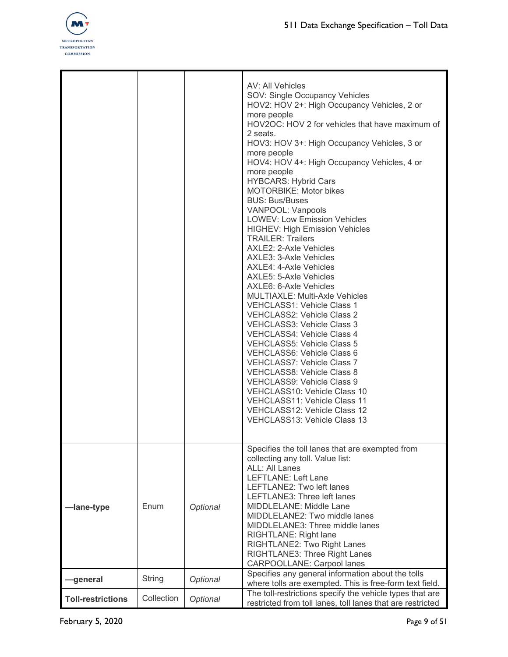

|                          |            |          | AV: All Vehicles<br>SOV: Single Occupancy Vehicles<br>HOV2: HOV 2+: High Occupancy Vehicles, 2 or<br>more people<br>HOV2OC: HOV 2 for vehicles that have maximum of<br>2 seats.<br>HOV3: HOV 3+: High Occupancy Vehicles, 3 or<br>more people<br>HOV4: HOV 4+: High Occupancy Vehicles, 4 or<br>more people<br><b>HYBCARS: Hybrid Cars</b><br>MOTORBIKE: Motor bikes<br><b>BUS: Bus/Buses</b><br>VANPOOL: Vanpools<br><b>LOWEV: Low Emission Vehicles</b><br><b>HIGHEV: High Emission Vehicles</b><br><b>TRAILER: Trailers</b><br>AXLE2: 2-Axle Vehicles<br>AXLE3: 3-Axle Vehicles<br>AXLE4: 4-Axle Vehicles<br>AXLE5: 5-Axle Vehicles<br>AXLE6: 6-Axle Vehicles<br><b>MULTIAXLE: Multi-Axle Vehicles</b><br><b>VEHCLASS1: Vehicle Class 1</b><br>VEHCLASS2: Vehicle Class 2<br>VEHCLASS3: Vehicle Class 3<br>VEHCLASS4: Vehicle Class 4<br><b>VEHCLASS5: Vehicle Class 5</b><br>VEHCLASS6: Vehicle Class 6<br><b>VEHCLASS7: Vehicle Class 7</b><br><b>VEHCLASS8: Vehicle Class 8</b><br>VEHCLASS9: Vehicle Class 9<br>VEHCLASS10: Vehicle Class 10<br>VEHCLASS11: Vehicle Class 11<br>VEHCLASS12: Vehicle Class 12<br>VEHCLASS13: Vehicle Class 13 |
|--------------------------|------------|----------|-----------------------------------------------------------------------------------------------------------------------------------------------------------------------------------------------------------------------------------------------------------------------------------------------------------------------------------------------------------------------------------------------------------------------------------------------------------------------------------------------------------------------------------------------------------------------------------------------------------------------------------------------------------------------------------------------------------------------------------------------------------------------------------------------------------------------------------------------------------------------------------------------------------------------------------------------------------------------------------------------------------------------------------------------------------------------------------------------------------------------------------------------------|
| -lane-type               | Enum       | Optional | Specifies the toll lanes that are exempted from<br>collecting any toll. Value list:<br><b>ALL: All Lanes</b><br><b>LEFTLANE: Left Lane</b><br>LEFTLANE2: Two left lanes<br>LEFTLANE3: Three left lanes<br>MIDDLELANE: Middle Lane<br>MIDDLELANE2: Two middle lanes<br>MIDDLELANE3: Three middle lanes<br>RIGHTLANE: Right lane<br>RIGHTLANE2: Two Right Lanes<br>RIGHTLANE3: Three Right Lanes<br><b>CARPOOLLANE: Carpool lanes</b>                                                                                                                                                                                                                                                                                                                                                                                                                                                                                                                                                                                                                                                                                                                 |
| -general                 | String     | Optional | Specifies any general information about the tolls<br>where tolls are exempted. This is free-form text field.                                                                                                                                                                                                                                                                                                                                                                                                                                                                                                                                                                                                                                                                                                                                                                                                                                                                                                                                                                                                                                        |
| <b>Toll-restrictions</b> | Collection | Optional | The toll-restrictions specify the vehicle types that are<br>restricted from toll lanes, toll lanes that are restricted                                                                                                                                                                                                                                                                                                                                                                                                                                                                                                                                                                                                                                                                                                                                                                                                                                                                                                                                                                                                                              |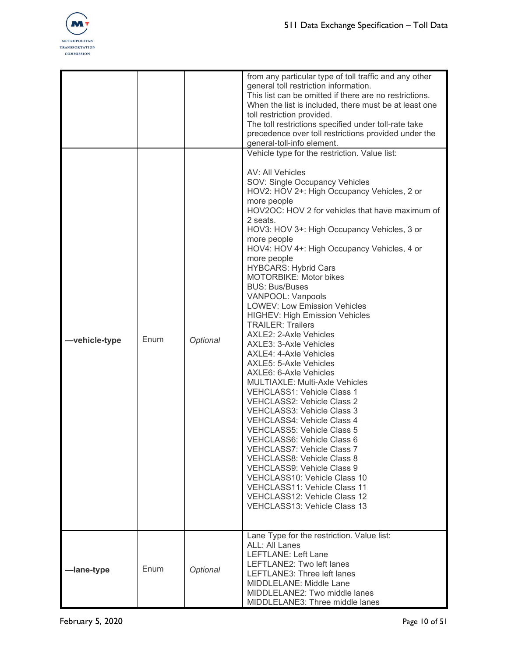

|      |          | from any particular type of toll traffic and any other<br>general toll restriction information.<br>This list can be omitted if there are no restrictions.<br>When the list is included, there must be at least one<br>toll restriction provided.<br>The toll restrictions specified under toll-rate take<br>precedence over toll restrictions provided under the<br>general-toll-info element.                                                                                                                                                                                                                                                                                                                                                                                                                                                                                                                                                                                                                                                                                                                                                                                                       |
|------|----------|------------------------------------------------------------------------------------------------------------------------------------------------------------------------------------------------------------------------------------------------------------------------------------------------------------------------------------------------------------------------------------------------------------------------------------------------------------------------------------------------------------------------------------------------------------------------------------------------------------------------------------------------------------------------------------------------------------------------------------------------------------------------------------------------------------------------------------------------------------------------------------------------------------------------------------------------------------------------------------------------------------------------------------------------------------------------------------------------------------------------------------------------------------------------------------------------------|
| Enum | Optional | Vehicle type for the restriction. Value list:<br>AV: All Vehicles<br>SOV: Single Occupancy Vehicles<br>HOV2: HOV 2+: High Occupancy Vehicles, 2 or<br>more people<br>HOV2OC: HOV 2 for vehicles that have maximum of<br>2 seats.<br>HOV3: HOV 3+: High Occupancy Vehicles, 3 or<br>more people<br>HOV4: HOV 4+: High Occupancy Vehicles, 4 or<br>more people<br><b>HYBCARS: Hybrid Cars</b><br><b>MOTORBIKE: Motor bikes</b><br><b>BUS: Bus/Buses</b><br>VANPOOL: Vanpools<br><b>LOWEV: Low Emission Vehicles</b><br><b>HIGHEV: High Emission Vehicles</b><br><b>TRAILER: Trailers</b><br>AXLE2: 2-Axle Vehicles<br>AXLE3: 3-Axle Vehicles<br><b>AXLE4: 4-Axle Vehicles</b><br>AXLE5: 5-Axle Vehicles<br>AXLE6: 6-Axle Vehicles<br><b>MULTIAXLE: Multi-Axle Vehicles</b><br>VEHCLASS1: Vehicle Class 1<br>VEHCLASS2: Vehicle Class 2<br><b>VEHCLASS3: Vehicle Class 3</b><br>VEHCLASS4: Vehicle Class 4<br>VEHCLASS5: Vehicle Class 5<br>VEHCLASS6: Vehicle Class 6<br>VEHCLASS7: Vehicle Class 7<br><b>VEHCLASS8: Vehicle Class 8</b><br>VEHCLASS9: Vehicle Class 9<br>VEHCLASS10: Vehicle Class 10<br>VEHCLASS11: Vehicle Class 11<br>VEHCLASS12: Vehicle Class 12<br>VEHCLASS13: Vehicle Class 13 |
| Enum | Optional | Lane Type for the restriction. Value list:<br><b>ALL: All Lanes</b><br><b>LEFTLANE: Left Lane</b><br>LEFTLANE2: Two left lanes<br>LEFTLANE3: Three left lanes<br><b>MIDDLELANE: Middle Lane</b><br>MIDDLELANE2: Two middle lanes<br>MIDDLELANE3: Three middle lanes                                                                                                                                                                                                                                                                                                                                                                                                                                                                                                                                                                                                                                                                                                                                                                                                                                                                                                                                  |
|      |          |                                                                                                                                                                                                                                                                                                                                                                                                                                                                                                                                                                                                                                                                                                                                                                                                                                                                                                                                                                                                                                                                                                                                                                                                      |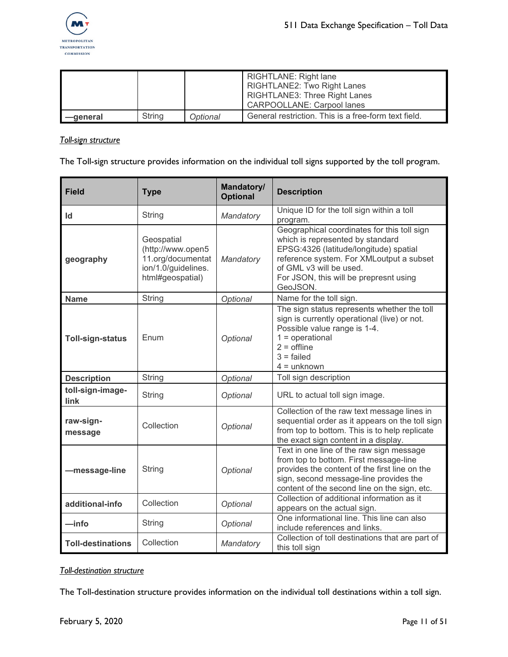

|          |        |          | RIGHTLANE: Right lane<br><b>RIGHTLANE2: Two Right Lanes</b><br>RIGHTLANE3: Three Right Lanes<br><b>CARPOOLLANE: Carpool lanes</b> |
|----------|--------|----------|-----------------------------------------------------------------------------------------------------------------------------------|
| —qeneral | String | Optional | General restriction. This is a free-form text field.                                                                              |

#### *Toll-sign structure*

The Toll-sign structure provides information on the individual toll signs supported by the toll program.

| <b>Field</b>             | <b>Type</b>                                                                                     | <b>Mandatory/</b><br><b>Optional</b> | <b>Description</b>                                                                                                                                                                                                                                     |
|--------------------------|-------------------------------------------------------------------------------------------------|--------------------------------------|--------------------------------------------------------------------------------------------------------------------------------------------------------------------------------------------------------------------------------------------------------|
| Id                       | <b>String</b>                                                                                   | Mandatory                            | Unique ID for the toll sign within a toll<br>program.                                                                                                                                                                                                  |
| geography                | Geospatial<br>(http://www.open5<br>11.org/documentat<br>ion/1.0/guidelines.<br>html#geospatial) | Mandatory                            | Geographical coordinates for this toll sign<br>which is represented by standard<br>EPSG:4326 (latitude/longitude) spatial<br>reference system. For XMLoutput a subset<br>of GML v3 will be used.<br>For JSON, this will be prepresnt using<br>GeoJSON. |
| <b>Name</b>              | String                                                                                          | Optional                             | Name for the toll sign.                                                                                                                                                                                                                                |
| <b>Toll-sign-status</b>  | Enum                                                                                            | Optional                             | The sign status represents whether the toll<br>sign is currently operational (live) or not.<br>Possible value range is 1-4.<br>$1 = operation$<br>$2 =$ offline<br>$3 =$ failed<br>$4 =$ unknown                                                       |
| <b>Description</b>       | <b>String</b>                                                                                   | Optional                             | Toll sign description                                                                                                                                                                                                                                  |
| toll-sign-image-<br>link | String                                                                                          | Optional                             | URL to actual toll sign image.                                                                                                                                                                                                                         |
| raw-sign-<br>message     | Collection                                                                                      | Optional                             | Collection of the raw text message lines in<br>sequential order as it appears on the toll sign<br>from top to bottom. This is to help replicate<br>the exact sign content in a display.                                                                |
| -message-line            | String                                                                                          | Optional                             | Text in one line of the raw sign message<br>from top to bottom. First message-line<br>provides the content of the first line on the<br>sign, second message-line provides the<br>content of the second line on the sign, etc.                          |
| additional-info          | Collection                                                                                      | Optional                             | Collection of additional information as it<br>appears on the actual sign.                                                                                                                                                                              |
| —info                    | String                                                                                          | Optional                             | One informational line. This line can also<br>include references and links.                                                                                                                                                                            |
| <b>Toll-destinations</b> | Collection                                                                                      | Mandatory                            | Collection of toll destinations that are part of<br>this toll sign                                                                                                                                                                                     |

#### *Toll-destination structure*

The Toll-destination structure provides information on the individual toll destinations within a toll sign.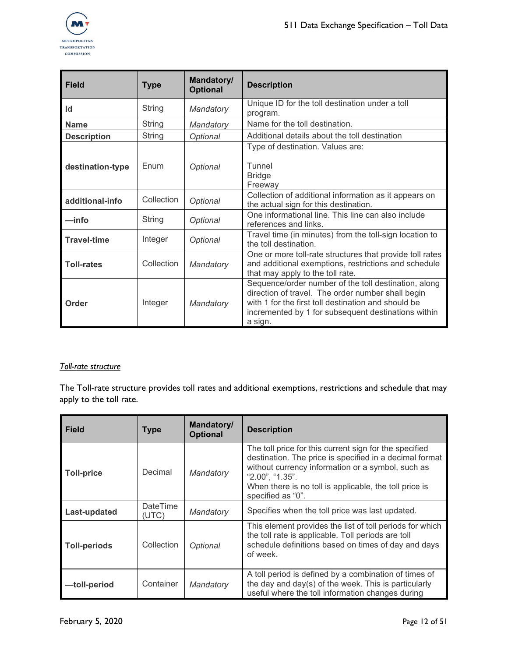

| <b>Field</b>       | <b>Type</b>   | Mandatory/<br><b>Optional</b> | <b>Description</b>                                                                                                                                                                                                                 |
|--------------------|---------------|-------------------------------|------------------------------------------------------------------------------------------------------------------------------------------------------------------------------------------------------------------------------------|
| Id                 | <b>String</b> | Mandatory                     | Unique ID for the toll destination under a toll<br>program.                                                                                                                                                                        |
| <b>Name</b>        | <b>String</b> | Mandatory                     | Name for the toll destination.                                                                                                                                                                                                     |
| <b>Description</b> | <b>String</b> | Optional                      | Additional details about the toll destination                                                                                                                                                                                      |
| destination-type   | Enum          | Optional                      | Type of destination. Values are:<br>Tunnel<br><b>Bridge</b><br>Freeway                                                                                                                                                             |
| additional-info    | Collection    | Optional                      | Collection of additional information as it appears on<br>the actual sign for this destination.                                                                                                                                     |
| —info              | String        | Optional                      | One informational line. This line can also include<br>references and links.                                                                                                                                                        |
| <b>Travel-time</b> | Integer       | Optional                      | Travel time (in minutes) from the toll-sign location to<br>the toll destination.                                                                                                                                                   |
| <b>Toll-rates</b>  | Collection    | Mandatory                     | One or more toll-rate structures that provide toll rates<br>and additional exemptions, restrictions and schedule<br>that may apply to the toll rate.                                                                               |
| Order              | Integer       | Mandatory                     | Sequence/order number of the toll destination, along<br>direction of travel. The order number shall begin<br>with 1 for the first toll destination and should be<br>incremented by 1 for subsequent destinations within<br>a sign. |

#### *Toll-rate structure*

The Toll-rate structure provides toll rates and additional exemptions, restrictions and schedule that may apply to the toll rate.

| <b>Field</b>        | <b>Type</b>              | Mandatory/<br><b>Optional</b> | <b>Description</b>                                                                                                                                                                                                                                                       |
|---------------------|--------------------------|-------------------------------|--------------------------------------------------------------------------------------------------------------------------------------------------------------------------------------------------------------------------------------------------------------------------|
| <b>Toll-price</b>   | Decimal                  | Mandatory                     | The toll price for this current sign for the specified<br>destination. The price is specified in a decimal format<br>without currency information or a symbol, such as<br>"2.00", "1.35".<br>When there is no toll is applicable, the toll price is<br>specified as "0". |
| Last-updated        | <b>DateTime</b><br>(UTC) | Mandatory                     | Specifies when the toll price was last updated.                                                                                                                                                                                                                          |
| <b>Toll-periods</b> | Collection               | Optional                      | This element provides the list of toll periods for which<br>the toll rate is applicable. Toll periods are toll<br>schedule definitions based on times of day and days<br>of week.                                                                                        |
| -toll-period        | Container                | Mandatory                     | A toll period is defined by a combination of times of<br>the day and day(s) of the week. This is particularly<br>useful where the toll information changes during                                                                                                        |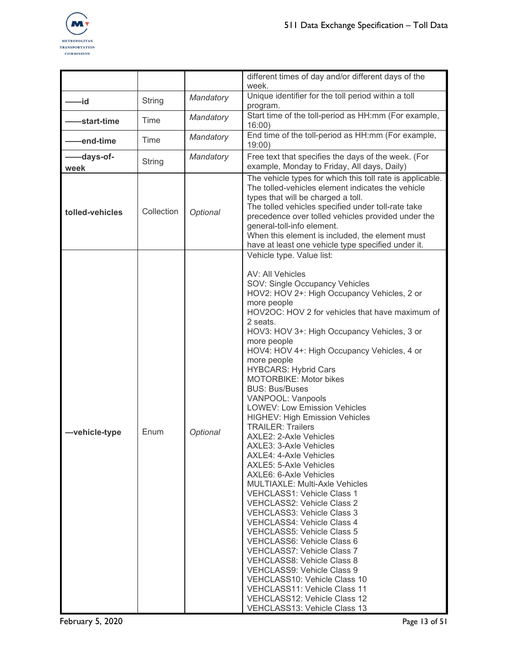

|                   |               |           | different times of day and/or different days of the<br>week.                                                                                                                                                                                                                                                                                                                                                                                                                                                                                                                                                                                                                                                                                                                                                                                                                                                                                                                                                                                                                                                                                                                                                        |
|-------------------|---------------|-----------|---------------------------------------------------------------------------------------------------------------------------------------------------------------------------------------------------------------------------------------------------------------------------------------------------------------------------------------------------------------------------------------------------------------------------------------------------------------------------------------------------------------------------------------------------------------------------------------------------------------------------------------------------------------------------------------------------------------------------------------------------------------------------------------------------------------------------------------------------------------------------------------------------------------------------------------------------------------------------------------------------------------------------------------------------------------------------------------------------------------------------------------------------------------------------------------------------------------------|
| -id               | <b>String</b> | Mandatory | Unique identifier for the toll period within a toll<br>program.                                                                                                                                                                                                                                                                                                                                                                                                                                                                                                                                                                                                                                                                                                                                                                                                                                                                                                                                                                                                                                                                                                                                                     |
| -start-time       | Time          | Mandatory | Start time of the toll-period as HH:mm (For example,<br>16:00                                                                                                                                                                                                                                                                                                                                                                                                                                                                                                                                                                                                                                                                                                                                                                                                                                                                                                                                                                                                                                                                                                                                                       |
| -end-time         | Time          | Mandatory | End time of the toll-period as HH:mm (For example,<br>19:00                                                                                                                                                                                                                                                                                                                                                                                                                                                                                                                                                                                                                                                                                                                                                                                                                                                                                                                                                                                                                                                                                                                                                         |
| -days-of-<br>week | String        | Mandatory | Free text that specifies the days of the week. (For<br>example, Monday to Friday, All days, Daily)                                                                                                                                                                                                                                                                                                                                                                                                                                                                                                                                                                                                                                                                                                                                                                                                                                                                                                                                                                                                                                                                                                                  |
| tolled-vehicles   | Collection    | Optional  | The vehicle types for which this toll rate is applicable.<br>The tolled-vehicles element indicates the vehicle<br>types that will be charged a toll.<br>The tolled vehicles specified under toll-rate take<br>precedence over tolled vehicles provided under the<br>general-toll-info element.<br>When this element is included, the element must<br>have at least one vehicle type specified under it.                                                                                                                                                                                                                                                                                                                                                                                                                                                                                                                                                                                                                                                                                                                                                                                                             |
| -vehicle-type     | Enum          | Optional  | Vehicle type. Value list:<br>AV: All Vehicles<br>SOV: Single Occupancy Vehicles<br>HOV2: HOV 2+: High Occupancy Vehicles, 2 or<br>more people<br>HOV2OC: HOV 2 for vehicles that have maximum of<br>2 seats.<br>HOV3: HOV 3+: High Occupancy Vehicles, 3 or<br>more people<br>HOV4: HOV 4+: High Occupancy Vehicles, 4 or<br>more people<br><b>HYBCARS: Hybrid Cars</b><br><b>MOTORBIKE: Motor bikes</b><br><b>BUS: Bus/Buses</b><br>VANPOOL: Vanpools<br><b>LOWEV: Low Emission Vehicles</b><br><b>HIGHEV: High Emission Vehicles</b><br><b>TRAILER: Trailers</b><br>AXLE2: 2-Axle Vehicles<br>AXLE3: 3-Axle Vehicles<br>AXLE4: 4-Axle Vehicles<br>AXLE5: 5-Axle Vehicles<br>AXLE6: 6-Axle Vehicles<br><b>MULTIAXLE: Multi-Axle Vehicles</b><br><b>VEHCLASS1: Vehicle Class 1</b><br><b>VEHCLASS2: Vehicle Class 2</b><br><b>VEHCLASS3: Vehicle Class 3</b><br><b>VEHCLASS4: Vehicle Class 4</b><br><b>VEHCLASS5: Vehicle Class 5</b><br>VEHCLASS6: Vehicle Class 6<br><b>VEHCLASS7: Vehicle Class 7</b><br><b>VEHCLASS8: Vehicle Class 8</b><br>VEHCLASS9: Vehicle Class 9<br>VEHCLASS10: Vehicle Class 10<br>VEHCLASS11: Vehicle Class 11<br>VEHCLASS12: Vehicle Class 12<br><b>VEHCLASS13: Vehicle Class 13</b> |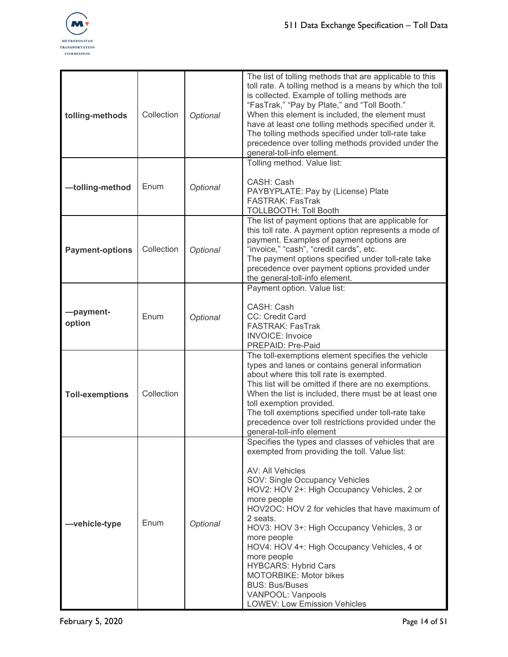

| tolling-methods        | Collection | Optional | The list of tolling methods that are applicable to this<br>toll rate. A tolling method is a means by which the toll<br>is collected. Example of tolling methods are<br>"FasTrak," "Pay by Plate," and "Toll Booth."<br>When this element is included, the element must<br>have at least one tolling methods specified under it.<br>The tolling methods specified under toll-rate take<br>precedence over tolling methods provided under the<br>general-toll-info element.                                                                                                 |
|------------------------|------------|----------|---------------------------------------------------------------------------------------------------------------------------------------------------------------------------------------------------------------------------------------------------------------------------------------------------------------------------------------------------------------------------------------------------------------------------------------------------------------------------------------------------------------------------------------------------------------------------|
| -tolling-method        | Enum       | Optional | Tolling method. Value list:<br>CASH: Cash<br>PAYBYPLATE: Pay by (License) Plate<br>FASTRAK: FasTrak<br><b>TOLLBOOTH: Toll Booth</b>                                                                                                                                                                                                                                                                                                                                                                                                                                       |
| <b>Payment-options</b> | Collection | Optional | The list of payment options that are applicable for<br>this toll rate. A payment option represents a mode of<br>payment. Examples of payment options are<br>"invoice," "cash", "credit cards", etc.<br>The payment options specified under toll-rate take<br>precedence over payment options provided under<br>the general-toll-info element.                                                                                                                                                                                                                             |
| -payment-<br>option    | Enum       | Optional | Payment option. Value list:<br>CASH: Cash<br>CC: Credit Card<br><b>FASTRAK: FasTrak</b><br><b>INVOICE: Invoice</b><br>PREPAID: Pre-Paid                                                                                                                                                                                                                                                                                                                                                                                                                                   |
| <b>Toll-exemptions</b> | Collection |          | The toll-exemptions element specifies the vehicle<br>types and lanes or contains general information<br>about where this toll rate is exempted.<br>This list will be omitted if there are no exemptions.<br>When the list is included, there must be at least one<br>toll exemption provided.<br>The toll exemptions specified under toll-rate take<br>precedence over toll restrictions provided under the<br>general-toll-info element                                                                                                                                  |
| -vehicle-type          | Enum       | Optional | Specifies the types and classes of vehicles that are<br>exempted from providing the toll. Value list:<br>AV: All Vehicles<br>SOV: Single Occupancy Vehicles<br>HOV2: HOV 2+: High Occupancy Vehicles, 2 or<br>more people<br>HOV2OC: HOV 2 for vehicles that have maximum of<br>2 seats.<br>HOV3: HOV 3+: High Occupancy Vehicles, 3 or<br>more people<br>HOV4: HOV 4+: High Occupancy Vehicles, 4 or<br>more people<br><b>HYBCARS: Hybrid Cars</b><br><b>MOTORBIKE: Motor bikes</b><br><b>BUS: Bus/Buses</b><br>VANPOOL: Vanpools<br><b>LOWEV: Low Emission Vehicles</b> |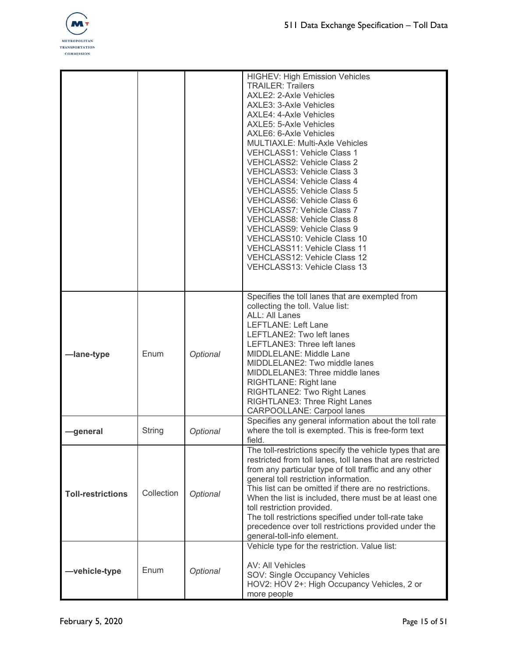

|                          |            |          | <b>HIGHEV: High Emission Vehicles</b><br><b>TRAILER: Trailers</b><br>AXLE2: 2-Axle Vehicles<br>AXLE3: 3-Axle Vehicles<br>AXLE4: 4-Axle Vehicles<br>AXLE5: 5-Axle Vehicles<br>AXLE6: 6-Axle Vehicles<br><b>MULTIAXLE: Multi-Axle Vehicles</b><br>VEHCLASS1: Vehicle Class 1<br><b>VEHCLASS2: Vehicle Class 2</b><br><b>VEHCLASS3: Vehicle Class 3</b><br>VEHCLASS4: Vehicle Class 4<br><b>VEHCLASS5: Vehicle Class 5</b><br>VEHCLASS6: Vehicle Class 6<br>VEHCLASS7: Vehicle Class 7<br><b>VEHCLASS8: Vehicle Class 8</b><br>VEHCLASS9: Vehicle Class 9<br>VEHCLASS10: Vehicle Class 10<br>VEHCLASS11: Vehicle Class 11<br>VEHCLASS12: Vehicle Class 12<br>VEHCLASS13: Vehicle Class 13 |
|--------------------------|------------|----------|----------------------------------------------------------------------------------------------------------------------------------------------------------------------------------------------------------------------------------------------------------------------------------------------------------------------------------------------------------------------------------------------------------------------------------------------------------------------------------------------------------------------------------------------------------------------------------------------------------------------------------------------------------------------------------------|
| -lane-type               | Enum       | Optional | Specifies the toll lanes that are exempted from<br>collecting the toll. Value list:<br>ALL: All Lanes<br><b>LEFTLANE: Left Lane</b><br>LEFTLANE2: Two left lanes<br>LEFTLANE3: Three left lanes<br>MIDDLELANE: Middle Lane<br>MIDDLELANE2: Two middle lanes<br>MIDDLELANE3: Three middle lanes<br>RIGHTLANE: Right lane<br>RIGHTLANE2: Two Right Lanes<br>RIGHTLANE3: Three Right Lanes<br><b>CARPOOLLANE: Carpool lanes</b>                                                                                                                                                                                                                                                           |
| —general                 | String     | Optional | Specifies any general information about the toll rate<br>where the toll is exempted. This is free-form text<br>field.                                                                                                                                                                                                                                                                                                                                                                                                                                                                                                                                                                  |
| <b>Toll-restrictions</b> | Collection | Optional | The toll-restrictions specify the vehicle types that are<br>restricted from toll lanes, toll lanes that are restricted<br>from any particular type of toll traffic and any other<br>general toll restriction information.<br>This list can be omitted if there are no restrictions.<br>When the list is included, there must be at least one<br>toll restriction provided.<br>The toll restrictions specified under toll-rate take<br>precedence over toll restrictions provided under the<br>general-toll-info element.                                                                                                                                                               |
| -vehicle-type            | Enum       | Optional | Vehicle type for the restriction. Value list:<br>AV: All Vehicles<br>SOV: Single Occupancy Vehicles<br>HOV2: HOV 2+: High Occupancy Vehicles, 2 or<br>more people                                                                                                                                                                                                                                                                                                                                                                                                                                                                                                                      |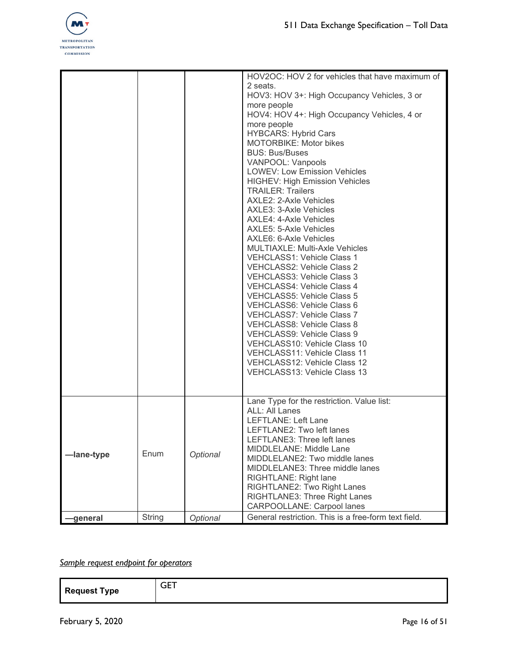

|            |        |          | HOV2OC: HOV 2 for vehicles that have maximum of<br>2 seats.<br>HOV3: HOV 3+: High Occupancy Vehicles, 3 or<br>more people<br>HOV4: HOV 4+: High Occupancy Vehicles, 4 or<br>more people<br><b>HYBCARS: Hybrid Cars</b><br>MOTORBIKE: Motor bikes<br><b>BUS: Bus/Buses</b><br>VANPOOL: Vanpools<br><b>LOWEV: Low Emission Vehicles</b><br><b>HIGHEV: High Emission Vehicles</b><br><b>TRAILER: Trailers</b><br>AXLE2: 2-Axle Vehicles<br>AXLE3: 3-Axle Vehicles<br>AXLE4: 4-Axle Vehicles<br>AXLE5: 5-Axle Vehicles<br>AXLE6: 6-Axle Vehicles<br><b>MULTIAXLE: Multi-Axle Vehicles</b><br>VEHCLASS1: Vehicle Class 1<br>VEHCLASS2: Vehicle Class 2<br>VEHCLASS3: Vehicle Class 3<br>VEHCLASS4: Vehicle Class 4<br><b>VEHCLASS5: Vehicle Class 5</b><br>VEHCLASS6: Vehicle Class 6<br><b>VEHCLASS7: Vehicle Class 7</b><br>VEHCLASS8: Vehicle Class 8<br>VEHCLASS9: Vehicle Class 9<br>VEHCLASS10: Vehicle Class 10 |
|------------|--------|----------|-------------------------------------------------------------------------------------------------------------------------------------------------------------------------------------------------------------------------------------------------------------------------------------------------------------------------------------------------------------------------------------------------------------------------------------------------------------------------------------------------------------------------------------------------------------------------------------------------------------------------------------------------------------------------------------------------------------------------------------------------------------------------------------------------------------------------------------------------------------------------------------------------------------------|
|            |        |          | VEHCLASS11: Vehicle Class 11<br>VEHCLASS12: Vehicle Class 12<br>VEHCLASS13: Vehicle Class 13                                                                                                                                                                                                                                                                                                                                                                                                                                                                                                                                                                                                                                                                                                                                                                                                                      |
| -lane-type | Enum   | Optional | Lane Type for the restriction. Value list:<br><b>ALL: All Lanes</b><br><b>LEFTLANE: Left Lane</b><br>LEFTLANE2: Two left lanes<br>LEFTLANE3: Three left lanes<br>MIDDLELANE: Middle Lane<br>MIDDLELANE2: Two middle lanes<br>MIDDLELANE3: Three middle lanes<br>RIGHTLANE: Right lane<br>RIGHTLANE2: Two Right Lanes<br>RIGHTLANE3: Three Right Lanes<br><b>CARPOOLLANE: Carpool lanes</b>                                                                                                                                                                                                                                                                                                                                                                                                                                                                                                                        |
| —general   | String | Optional | General restriction. This is a free-form text field.                                                                                                                                                                                                                                                                                                                                                                                                                                                                                                                                                                                                                                                                                                                                                                                                                                                              |

## *Sample request endpoint for operators*

| <b>Request Type</b> | <b>GET</b><br>$\sim$ |
|---------------------|----------------------|
|                     |                      |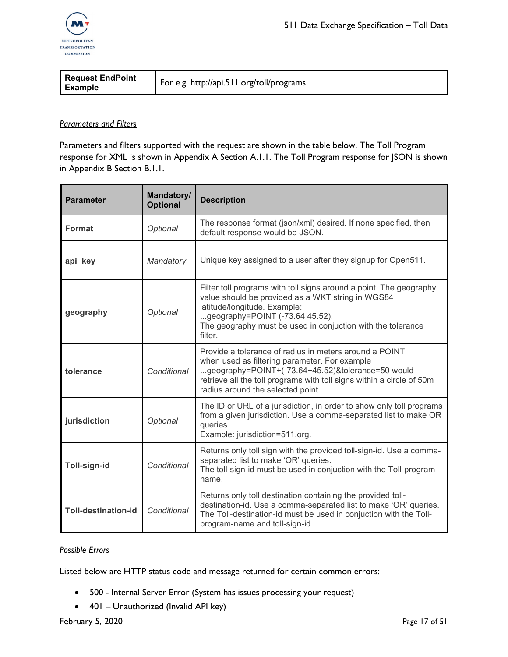

| <b>Request EndPoint</b><br><b>Example</b> | For e.g. http://api.511.org/toll/programs |
|-------------------------------------------|-------------------------------------------|
|-------------------------------------------|-------------------------------------------|

#### *Parameters and Filters*

Parameters and filters supported with the request are shown in the table below. The Toll Program response for XML is shown in Appendix A Section A.1.1. The Toll Program response for JSON is shown in Appendix B Section B.1.1.

| <b>Parameter</b>           | Mandatory/<br><b>Optional</b> | <b>Description</b>                                                                                                                                                                                                                                                         |
|----------------------------|-------------------------------|----------------------------------------------------------------------------------------------------------------------------------------------------------------------------------------------------------------------------------------------------------------------------|
| <b>Format</b>              | Optional                      | The response format (json/xml) desired. If none specified, then<br>default response would be JSON.                                                                                                                                                                         |
| api_key                    | Mandatory                     | Unique key assigned to a user after they signup for Open511.                                                                                                                                                                                                               |
| geography                  | Optional                      | Filter toll programs with toll signs around a point. The geography<br>value should be provided as a WKT string in WGS84<br>latitude/longitude. Example:<br>geography=POINT $(-73.6445.52)$ .<br>The geography must be used in conjuction with the tolerance<br>filter.     |
| tolerance                  | Conditional                   | Provide a tolerance of radius in meters around a POINT<br>when used as filtering parameter. For example<br>geography=POINT+(-73.64+45.52)&tolerance=50 would<br>retrieve all the toll programs with toll signs within a circle of 50m<br>radius around the selected point. |
| jurisdiction               | Optional                      | The ID or URL of a jurisdiction, in order to show only toll programs<br>from a given jurisdiction. Use a comma-separated list to make OR<br>queries.<br>Example: jurisdiction=511.org.                                                                                     |
| Toll-sign-id               | Conditional                   | Returns only toll sign with the provided toll-sign-id. Use a comma-<br>separated list to make 'OR' queries.<br>The toll-sign-id must be used in conjuction with the Toll-program-<br>name.                                                                                 |
| <b>Toll-destination-id</b> | Conditional                   | Returns only toll destination containing the provided toll-<br>destination-id. Use a comma-separated list to make 'OR' queries.<br>The Toll-destination-id must be used in conjuction with the Toll-<br>program-name and toll-sign-id.                                     |

#### *Possible Errors*

Listed below are HTTP status code and message returned for certain common errors:

- 500 Internal Server Error (System has issues processing your request)
- 401 Unauthorized (Invalid API key)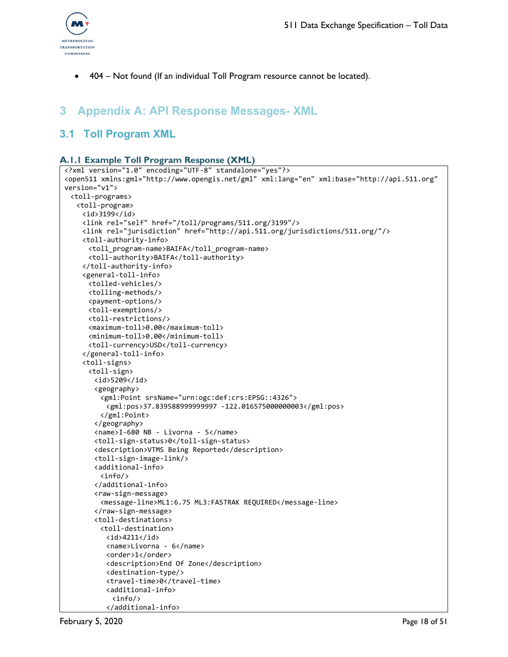

• 404 – Not found (If an individual Toll Program resource cannot be located).

## <span id="page-17-0"></span>**3 Appendix A: API Response Messages- XML**

## <span id="page-17-2"></span><span id="page-17-1"></span>**3.1 Toll Program XML**

#### **A.1.1 Example Toll Program Response (XML)**

```
<?xml version="1.0" encoding="UTF-8" standalone="yes"?>
<open511 xmlns:gml="http://www.opengis.net/gml" xml:lang="en" xml:base="http://api.511.org" 
version="v1">
 <toll-programs>
  <toll-program>
    <id>3199</id>
    <link rel="self" href="/toll/programs/511.org/3199"/>
    <link rel="jurisdiction" href="http://api.511.org/jurisdictions/511.org/"/>
    <toll-authority-info>
     <toll_program-name>BAIFA</toll_program-name>
     <toll-authority>BAIFA</toll-authority>
    </toll-authority-info>
    <general-toll-info>
     <tolled-vehicles/>
     <tolling-methods/>
     <payment-options/>
     <toll-exemptions/>
     <toll-restrictions/>
     <maximum-toll>0.00</maximum-toll>
     <minimum-toll>0.00</minimum-toll>
     <toll-currency>USD</toll-currency>
    </general-toll-info>
    <toll-signs>
     <toll-sign>
       <id>5209</id>
       <geography>
         <gml:Point srsName="urn:ogc:def:crs:EPSG::4326">
          <gml:pos>37.839588999999997 -122.016575000000003</gml:pos>
        </gml:Point>
       </geography>
       <name>I-680 NB - Livorna - 5</name>
       <toll-sign-status>0</toll-sign-status>
       <description>VTMS Being Reported</description>
       <toll-sign-image-link/>
       <additional-info>
        <info/>
       </additional-info>
       <raw-sign-message>
        <message-line>ML1:6.75 ML3:FASTRAK REQUIRED</message-line>
       </raw-sign-message>
       <toll-destinations>
        <toll-destination>
          <id>4211</id>
          <name>Livorna - 6</name>
          <order>1</order>
          <description>End Of Zone</description>
          <destination-type/>
          <travel-time>0</travel-time>
          <additional-info>
           <info/>
          </additional-info>
```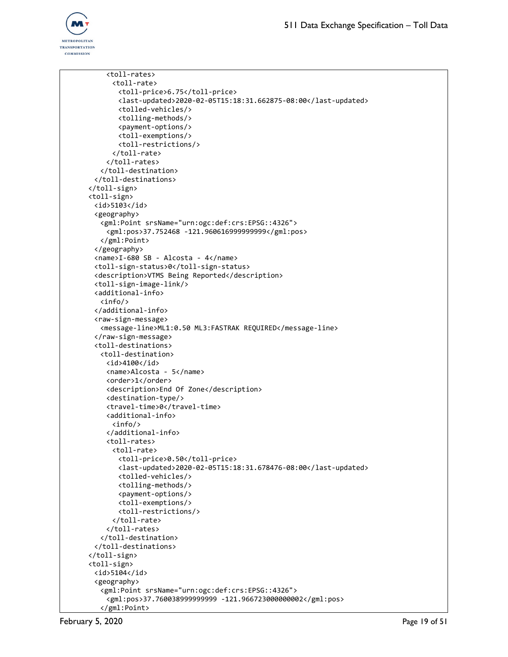

```
<toll-rates>
     <toll-rate>
       <toll-price>6.75</toll-price>
       <last-updated>2020-02-05T15:18:31.662875-08:00</last-updated>
       <tolled-vehicles/>
       <tolling-methods/>
       <payment-options/>
       <toll-exemptions/>
       <toll-restrictions/>
     </toll-rate>
    </toll-rates>
  </toll-destination>
 </toll-destinations>
</toll-sign>
<toll-sign>
 <id>5103</id>
 <geography>
   <gml:Point srsName="urn:ogc:def:crs:EPSG::4326">
    <gml:pos>37.752468 -121.960616999999999</gml:pos>
  </gml:Point>
 </geography>
 <name>I-680 SB - Alcosta - 4</name>
 <toll-sign-status>0</toll-sign-status>
 <description>VTMS Being Reported</description>
 <toll-sign-image-link/>
 <additional-info>
  <info/>
 </additional-info>
 <raw-sign-message>
   <message-line>ML1:0.50 ML3:FASTRAK REQUIRED</message-line>
 </raw-sign-message>
 <toll-destinations>
  <toll-destination>
    <id>4100</id>
    <name>Alcosta - 5</name>
    <order>1</order>
    <description>End Of Zone</description>
    <destination-type/>
    <travel-time>0</travel-time>
    <additional-info>
     <info/>
    </additional-info>
    <toll-rates>
     <toll-rate>
       <toll-price>0.50</toll-price>
       <last-updated>2020-02-05T15:18:31.678476-08:00</last-updated>
       <tolled-vehicles/>
       <tolling-methods/>
       <payment-options/>
       <toll-exemptions/>
       <toll-restrictions/>
     </toll-rate>
    </toll-rates>
  </toll-destination>
 </toll-destinations>
</toll-sign>
<toll-sign>
 <id>5104</id>
 <geography>
   <gml:Point srsName="urn:ogc:def:crs:EPSG::4326">
    <gml:pos>37.760038999999999 -121.966723000000002</gml:pos>
  </gml:Point>
```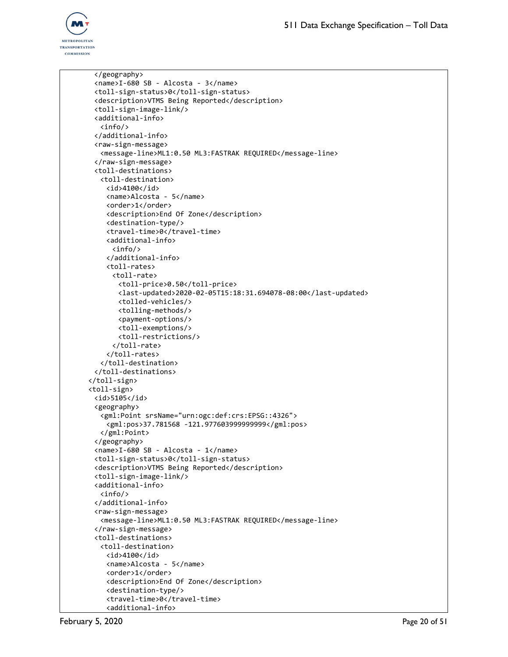

```
</geography>
 <name>I-680 SB - Alcosta - 3</name>
 <toll-sign-status>0</toll-sign-status>
 <description>VTMS Being Reported</description>
 <toll-sign-image-link/>
 <additional-info>
   <info/>
 </additional-info>
 <raw-sign-message>
   <message-line>ML1:0.50 ML3:FASTRAK REQUIRED</message-line>
 </raw-sign-message>
 <toll-destinations>
  <toll-destination>
    <id>4100</id>
    <name>Alcosta - 5</name>
    <order>1</order>
    <description>End Of Zone</description>
    <destination-type/>
    <travel-time>0</travel-time>
    <additional-info>
     <info/>
    </additional-info>
    <toll-rates>
     <toll-rate>
       <toll-price>0.50</toll-price>
       <last-updated>2020-02-05T15:18:31.694078-08:00</last-updated>
       <tolled-vehicles/>
       <tolling-methods/>
       <payment-options/>
       <toll-exemptions/>
       <toll-restrictions/>
     </toll-rate>
    </toll-rates>
  </toll-destination>
 </toll-destinations>
</toll-sign>
<toll-sign>
 <id>5105</id>
 <geography>
   <gml:Point srsName="urn:ogc:def:crs:EPSG::4326">
    <gml:pos>37.781568 -121.977603999999999</gml:pos>
  </gml:Point>
 </geography>
 <name>I-680 SB - Alcosta - 1</name>
 <toll-sign-status>0</toll-sign-status>
 <description>VTMS Being Reported</description>
 <toll-sign-image-link/>
 <additional-info>
  <info/>
 </additional-info>
 <raw-sign-message>
  <message-line>ML1:0.50 ML3:FASTRAK REQUIRED</message-line>
 </raw-sign-message>
 <toll-destinations>
  <toll-destination>
    <id>4100</id>
    <name>Alcosta - 5</name>
    <order>1</order>
    <description>End Of Zone</description>
    <destination-type/>
    <travel-time>0</travel-time>
    <additional-info>
```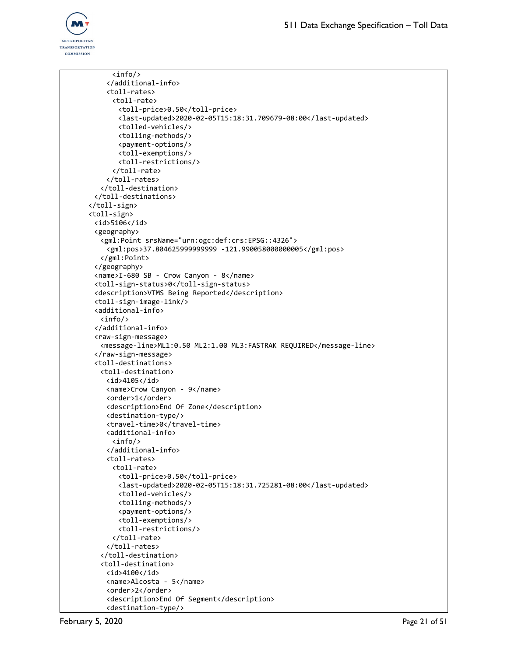

```
<info/>
    </additional-info>
    <toll-rates>
     <toll-rate>
       <toll-price>0.50</toll-price>
       <last-updated>2020-02-05T15:18:31.709679-08:00</last-updated>
       <tolled-vehicles/>
       <tolling-methods/>
       <payment-options/>
       <toll-exemptions/>
       <toll-restrictions/>
     </toll-rate>
    </toll-rates>
  </toll-destination>
 </toll-destinations>
</toll-sign>
<toll-sign>
 <id>5106</id>
 <geography>
   <gml:Point srsName="urn:ogc:def:crs:EPSG::4326">
    <gml:pos>37.804625999999999 -121.990058000000005</gml:pos>
  </gml:Point>
 </geography>
 <name>I-680 SB - Crow Canyon - 8</name>
 <toll-sign-status>0</toll-sign-status>
 <description>VTMS Being Reported</description>
 <toll-sign-image-link/>
 <additional-info>
  <info/>
 </additional-info>
 <raw-sign-message>
   <message-line>ML1:0.50 ML2:1.00 ML3:FASTRAK REQUIRED</message-line>
 </raw-sign-message>
 <toll-destinations>
  <toll-destination>
    <id>4105</id>
    <name>Crow Canyon - 9</name>
    <order>1</order>
    <description>End Of Zone</description>
    <destination-type/>
    <travel-time>0</travel-time>
    <additional-info>
     <info/>
    </additional-info>
    <toll-rates>
     <toll-rate>
       <toll-price>0.50</toll-price>
       <last-updated>2020-02-05T15:18:31.725281-08:00</last-updated>
       <tolled-vehicles/>
       <tolling-methods/>
       <payment-options/>
       <toll-exemptions/>
       <toll-restrictions/>
     </toll-rate>
    </toll-rates>
  </toll-destination>
  <toll-destination>
    <id>4100</id>
    <name>Alcosta - 5</name>
    <order>2</order>
    <description>End Of Segment</description>
    <destination-type/>
```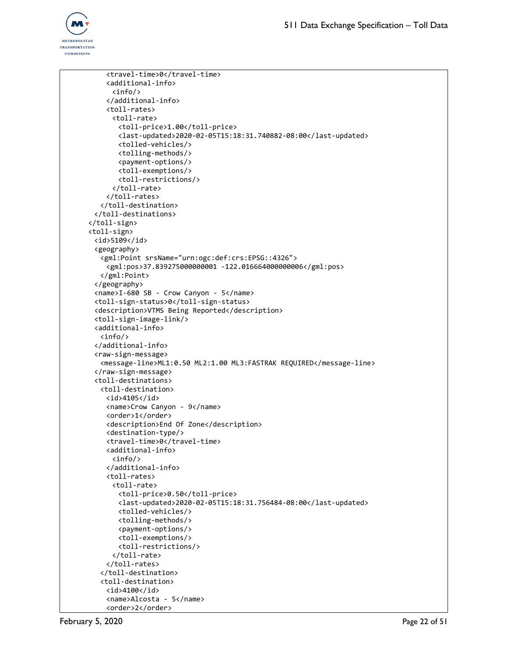```
<travel-time>0</travel-time>
    <additional-info>
      <info/>
    </additional-info>
    <toll-rates>
     <toll-rate>
       <toll-price>1.00</toll-price>
       <last-updated>2020-02-05T15:18:31.740882-08:00</last-updated>
       <tolled-vehicles/>
       <tolling-methods/>
       <payment-options/>
       <toll-exemptions/>
       <toll-restrictions/>
      </toll-rate>
    </toll-rates>
   </toll-destination>
 </toll-destinations>
</toll-sign>
<toll-sign>
 <id>5109</id>
 <geography>
   <gml:Point srsName="urn:ogc:def:crs:EPSG::4326">
    <gml:pos>37.839275000000001 -122.016664000000006</gml:pos>
  </gml:Point>
 </geography>
 <name>I-680 SB - Crow Canyon - 5</name>
 <toll-sign-status>0</toll-sign-status>
 <description>VTMS Being Reported</description>
 <toll-sign-image-link/>
 <additional-info>
  <info/>
 </additional-info>
 <raw-sign-message>
   <message-line>ML1:0.50 ML2:1.00 ML3:FASTRAK REQUIRED</message-line>
 </raw-sign-message>
 <toll-destinations>
  <toll-destination>
    <id>4105</id>
    <name>Crow Canyon - 9</name>
    <order>1</order>
    <description>End Of Zone</description>
    <destination-type/>
    <travel-time>0</travel-time>
    <additional-info>
     \langleinfo/</additional-info>
    <toll-rates>
     <toll-rate>
       <toll-price>0.50</toll-price>
       <last-updated>2020-02-05T15:18:31.756484-08:00</last-updated>
       <tolled-vehicles/>
       <tolling-methods/>
       <payment-options/>
       <toll-exemptions/>
       <toll-restrictions/>
     </toll-rate>
    </toll-rates>
   </toll-destination>
  <toll-destination>
    <id>4100</id>
    <name>Alcosta - 5</name>
    <order>2</order>
```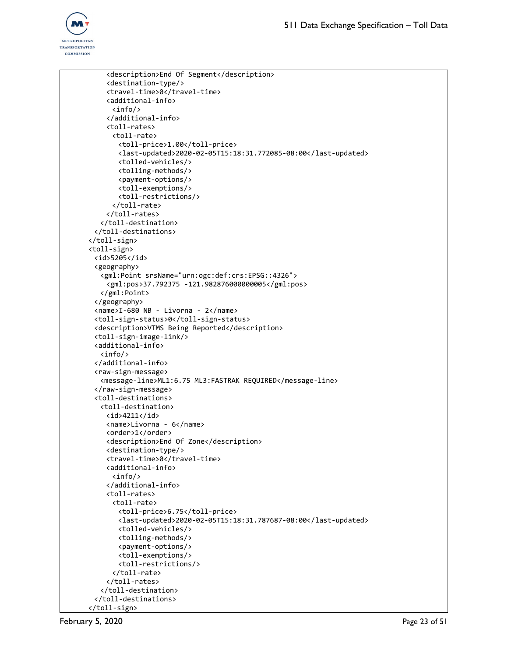```
<description>End Of Segment</description>
    <destination-type/>
    <travel-time>0</travel-time>
    <additional-info>
     <info/>
    </additional-info>
    <toll-rates>
     <toll-rate>
       <toll-price>1.00</toll-price>
       <last-updated>2020-02-05T15:18:31.772085-08:00</last-updated>
       <tolled-vehicles/>
       <tolling-methods/>
       <payment-options/>
       <toll-exemptions/>
       <toll-restrictions/>
      </toll-rate>
    </toll-rates>
  </toll-destination>
 </toll-destinations>
</toll-sign>
<toll-sign>
 <id>5205</id>
 <geography>
   <gml:Point srsName="urn:ogc:def:crs:EPSG::4326">
    <gml:pos>37.792375 -121.982876000000005</gml:pos>
  </gml:Point>
 </geography>
 <name>I-680 NB - Livorna - 2</name>
 <toll-sign-status>0</toll-sign-status>
 <description>VTMS Being Reported</description>
 <toll-sign-image-link/>
 <additional-info>
  <info/>
 </additional-info>
 <raw-sign-message>
   <message-line>ML1:6.75 ML3:FASTRAK REQUIRED</message-line>
 </raw-sign-message>
 <toll-destinations>
  <toll-destination>
    <id>4211</id>
    <name>Livorna - 6</name>
    <order>1</order>
    <description>End Of Zone</description>
    <destination-type/>
    <travel-time>0</travel-time>
    <additional-info>
     <info/>
    </additional-info>
    <toll-rates>
     <toll-rate>
       <toll-price>6.75</toll-price>
       <last-updated>2020-02-05T15:18:31.787687-08:00</last-updated>
       <tolled-vehicles/>
       <tolling-methods/>
       <payment-options/>
       <toll-exemptions/>
       <toll-restrictions/>
     </toll-rate>
    </toll-rates>
  </toll-destination>
 </toll-destinations>
</toll-sign>
```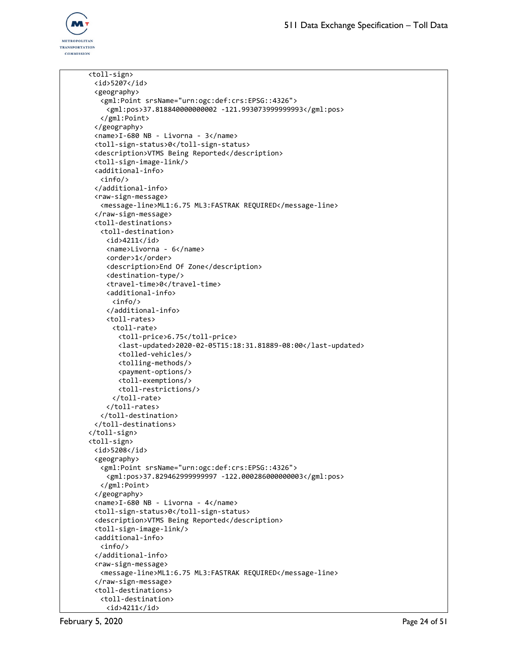

```
<toll-sign>
 <id>5207</id>
 <geography>
   <gml:Point srsName="urn:ogc:def:crs:EPSG::4326">
    <gml:pos>37.818840000000002 -121.993073999999993</gml:pos>
  </gml:Point>
 </geography>
 <name>I-680 NB - Livorna - 3</name>
 <toll-sign-status>0</toll-sign-status>
 <description>VTMS Being Reported</description>
 <toll-sign-image-link/>
 <additional-info>
  <info/>
 </additional-info>
 <raw-sign-message>
   <message-line>ML1:6.75 ML3:FASTRAK REQUIRED</message-line>
 </raw-sign-message>
 <toll-destinations>
   <toll-destination>
    <id>4211</id>
    <name>Livorna - 6</name>
    <order>1</order>
    <description>End Of Zone</description>
    <destination-type/>
    <travel-time>0</travel-time>
    <additional-info>
      <info/>
    </additional-info>
    <toll-rates>
      <toll-rate>
       <toll-price>6.75</toll-price>
       <last-updated>2020-02-05T15:18:31.81889-08:00</last-updated>
       <tolled-vehicles/>
       <tolling-methods/>
       <payment-options/>
       <toll-exemptions/>
       <toll-restrictions/>
      </toll-rate>
    </toll-rates>
  </toll-destination>
 </toll-destinations>
</toll-sign>
<toll-sign>
 <id>5208</id>
 <geography>
   <gml:Point srsName="urn:ogc:def:crs:EPSG::4326">
    <gml:pos>37.829462999999997 -122.000286000000003</gml:pos>
  </gml:Point>
 </geography>
 <name>I-680 NB - Livorna - 4</name>
 <toll-sign-status>0</toll-sign-status>
 <description>VTMS Being Reported</description>
 <toll-sign-image-link/>
 <additional-info>
  <info/>
 </additional-info>
 <raw-sign-message>
   <message-line>ML1:6.75 ML3:FASTRAK REQUIRED</message-line>
 </raw-sign-message>
 <toll-destinations>
   <toll-destination>
    <id>4211</id>
```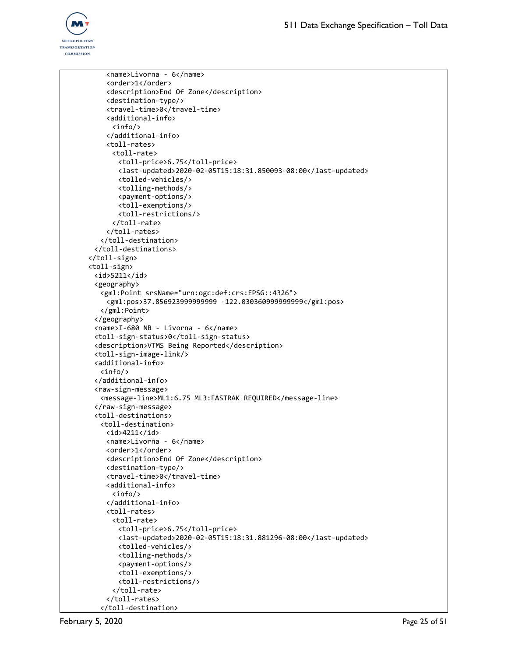

```
<name>Livorna - 6</name>
    <order>1</order>
    <description>End Of Zone</description>
    <destination-type/>
    <travel-time>0</travel-time>
    <additional-info>
     <info/>
    </additional-info>
    <toll-rates>
     <toll-rate>
       <toll-price>6.75</toll-price>
       <last-updated>2020-02-05T15:18:31.850093-08:00</last-updated>
       <tolled-vehicles/>
       <tolling-methods/>
       <payment-options/>
       <toll-exemptions/>
       <toll-restrictions/>
     </toll-rate>
    </toll-rates>
  </toll-destination>
 </toll-destinations>
</toll-sign>
<toll-sign>
 <id>5211</id>
 <geography>
   <gml:Point srsName="urn:ogc:def:crs:EPSG::4326">
    <gml:pos>37.856923999999999 -122.030360999999999</gml:pos>
  </gml:Point>
 </geography>
 <name>I-680 NB - Livorna - 6</name>
 <toll-sign-status>0</toll-sign-status>
 <description>VTMS Being Reported</description>
 <toll-sign-image-link/>
 <additional-info>
  <info/>
 </additional-info>
 <raw-sign-message>
   <message-line>ML1:6.75 ML3:FASTRAK REQUIRED</message-line>
 </raw-sign-message>
 <toll-destinations>
  <toll-destination>
    <id>4211</id>
    <name>Livorna - 6</name>
    <order>1</order>
    <description>End Of Zone</description>
    <destination-type/>
    <travel-time>0</travel-time>
    <additional-info>
     \langleinfo/</additional-info>
    <toll-rates>
     <toll-rate>
       <toll-price>6.75</toll-price>
       <last-updated>2020-02-05T15:18:31.881296-08:00</last-updated>
       <tolled-vehicles/>
       <tolling-methods/>
       <payment-options/>
       <toll-exemptions/>
       <toll-restrictions/>
     </toll-rate>
    </toll-rates>
  </toll-destination>
```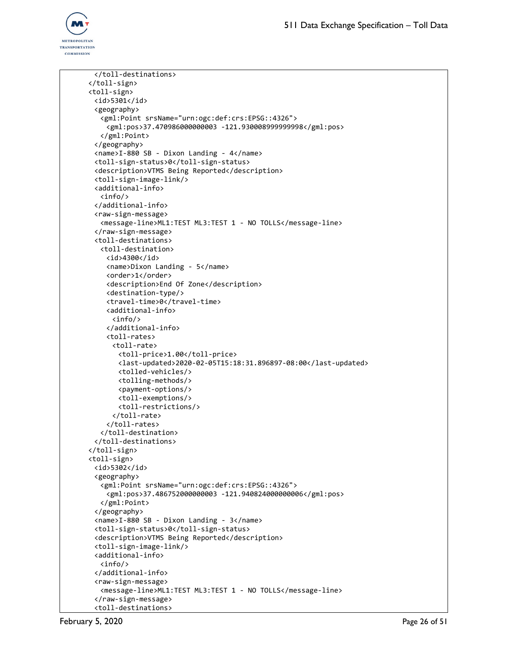

```
</toll-destinations>
</toll-sign>
<toll-sign>
 <id>5301</id>
 <geography>
   <gml:Point srsName="urn:ogc:def:crs:EPSG::4326">
    <gml:pos>37.470986000000003 -121.930008999999998</gml:pos>
  </gml:Point>
 </geography>
 <name>I-880 SB - Dixon Landing - 4</name>
 <toll-sign-status>0</toll-sign-status>
 <description>VTMS Being Reported</description>
 <toll-sign-image-link/>
 <additional-info>
  <info/>
 </additional-info>
 <raw-sign-message>
   <message-line>ML1:TEST ML3:TEST 1 - NO TOLLS</message-line>
 </raw-sign-message>
 <toll-destinations>
   <toll-destination>
    <id>4300</id>
    <name>Dixon Landing - 5</name>
    <order>1</order>
    <description>End Of Zone</description>
    <destination-type/>
    <travel-time>0</travel-time>
    <additional-info>
      <info/>
    </additional-info>
    <toll-rates>
     <toll-rate>
       <toll-price>1.00</toll-price>
       <last-updated>2020-02-05T15:18:31.896897-08:00</last-updated>
       <tolled-vehicles/>
       <tolling-methods/>
       <payment-options/>
       <toll-exemptions/>
       <toll-restrictions/>
      </toll-rate>
    </toll-rates>
  </toll-destination>
 </toll-destinations>
</toll-sign>
<toll-sign>
 <id>5302</id>
 <geography>
   <gml:Point srsName="urn:ogc:def:crs:EPSG::4326">
    <gml:pos>37.486752000000003 -121.940824000000006</gml:pos>
  </gml:Point>
 </geography>
 <name>I-880 SB - Dixon Landing - 3</name>
 <toll-sign-status>0</toll-sign-status>
 <description>VTMS Being Reported</description>
 <toll-sign-image-link/>
 <additional-info>
  <info/>
 </additional-info>
 <raw-sign-message>
   <message-line>ML1:TEST ML3:TEST 1 - NO TOLLS</message-line>
 </raw-sign-message>
 <toll-destinations>
```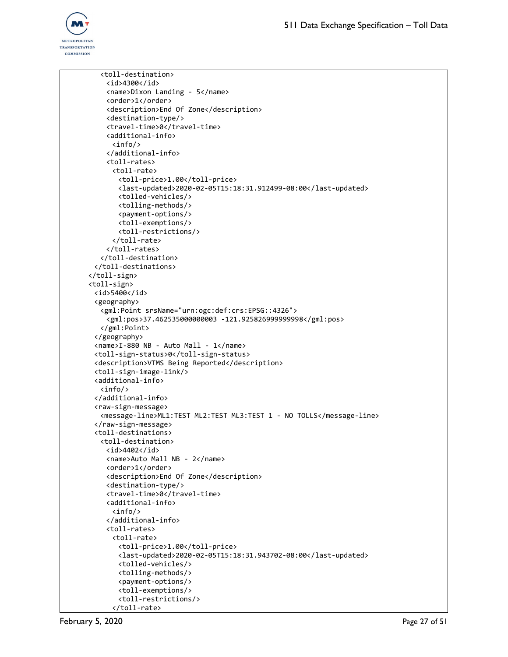

```
<toll-destination>
    <id>4300</id>
    <name>Dixon Landing - 5</name>
    <order>1</order>
    <description>End Of Zone</description>
    <destination-type/>
    <travel-time>0</travel-time>
    <additional-info>
     <info/>
    </additional-info>
    <toll-rates>
     <toll-rate>
       <toll-price>1.00</toll-price>
       <last-updated>2020-02-05T15:18:31.912499-08:00</last-updated>
       <tolled-vehicles/>
       <tolling-methods/>
       <payment-options/>
       <toll-exemptions/>
       <toll-restrictions/>
     </toll-rate>
    </toll-rates>
  </toll-destination>
 </toll-destinations>
</toll-sign>
<toll-sign>
 <id>5400</id>
 <geography>
   <gml:Point srsName="urn:ogc:def:crs:EPSG::4326">
    <gml:pos>37.462535000000003 -121.925826999999998</gml:pos>
  </gml:Point>
 </geography>
 <name>I-880 NB - Auto Mall - 1</name>
 <toll-sign-status>0</toll-sign-status>
 <description>VTMS Being Reported</description>
 <toll-sign-image-link/>
 <additional-info>
  <info/>
 </additional-info>
 <raw-sign-message>
   <message-line>ML1:TEST ML2:TEST ML3:TEST 1 - NO TOLLS</message-line>
 </raw-sign-message>
 <toll-destinations>
  <toll-destination>
    <id>4402</id>
    <name>Auto Mall NB - 2</name>
    <order>1</order>
    <description>End Of Zone</description>
    <destination-type/>
    <travel-time>0</travel-time>
    <additional-info>
     \langleinfo/</additional-info>
    <toll-rates>
     <toll-rate>
       <toll-price>1.00</toll-price>
       <last-updated>2020-02-05T15:18:31.943702-08:00</last-updated>
       <tolled-vehicles/>
       <tolling-methods/>
       <payment-options/>
       <toll-exemptions/>
       <toll-restrictions/>
     </toll-rate>
```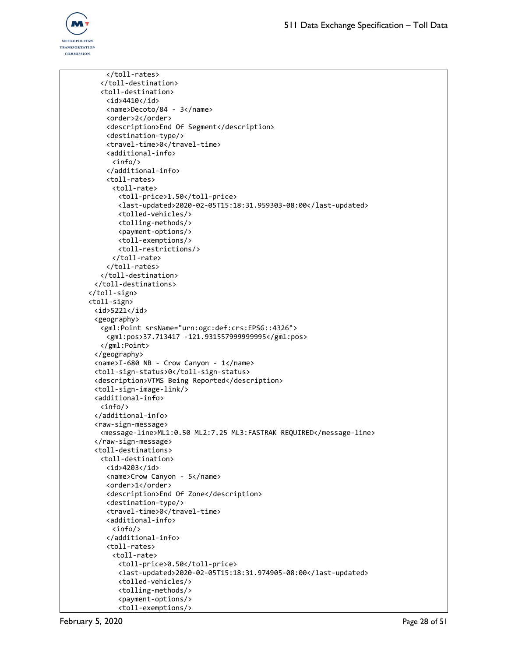

</toll-rates> </toll-destination> <toll-destination> <id>4410</id> <name>Decoto/84 - 3</name> <order>2</order> <description>End Of Segment</description> <destination-type/> <travel-time>0</travel-time> <additional-info> <info/> </additional-info> <toll-rates> <toll-rate> <toll-price>1.50</toll-price> <last-updated>2020-02-05T15:18:31.959303-08:00</last-updated> <tolled-vehicles/> <tolling-methods/> <payment-options/> <toll-exemptions/> <toll-restrictions/> </toll-rate> </toll-rates> </toll-destination> </toll-destinations> </toll-sign> <toll-sign> <id>5221</id> <geography> <gml:Point srsName="urn:ogc:def:crs:EPSG::4326"> <gml:pos>37.713417 -121.931557999999995</gml:pos> </gml:Point> </geography> <name>I-680 NB - Crow Canyon - 1</name> <toll-sign-status>0</toll-sign-status> <description>VTMS Being Reported</description> <toll-sign-image-link/> <additional-info> <info/> </additional-info> <raw-sign-message> <message-line>ML1:0.50 ML2:7.25 ML3:FASTRAK REQUIRED</message-line> </raw-sign-message> <toll-destinations> <toll-destination> <id>4203</id> <name>Crow Canyon - 5</name> <order>1</order> <description>End Of Zone</description> <destination-type/> <travel-time>0</travel-time> <additional-info>  $\langle$ info $/$ </additional-info> <toll-rates> <toll-rate> <toll-price>0.50</toll-price> <last-updated>2020-02-05T15:18:31.974905-08:00</last-updated> <tolled-vehicles/> <tolling-methods/> <payment-options/> <toll-exemptions/>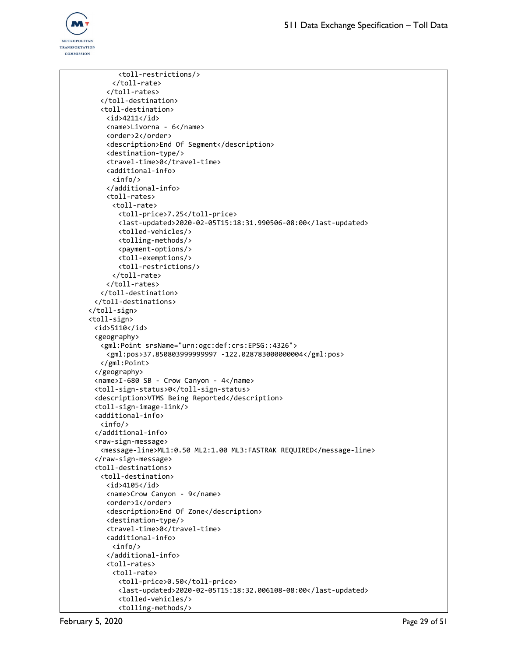

<toll-restrictions/> </toll-rate> </toll-rates> </toll-destination> <toll-destination> <id>4211</id> <name>Livorna - 6</name> <order>2</order> <description>End Of Segment</description> <destination-type/> <travel-time>0</travel-time> <additional-info> <info/> </additional-info> <toll-rates> <toll-rate> <toll-price>7.25</toll-price> <last-updated>2020-02-05T15:18:31.990506-08:00</last-updated> <tolled-vehicles/> <tolling-methods/> <payment-options/> <toll-exemptions/> <toll-restrictions/> </toll-rate> </toll-rates> </toll-destination> </toll-destinations> </toll-sign> <toll-sign> <id>5110</id> <geography> <gml:Point srsName="urn:ogc:def:crs:EPSG::4326"> <gml:pos>37.850803999999997 -122.028783000000004</gml:pos> </gml:Point> </geography> <name>I-680 SB - Crow Canyon - 4</name> <toll-sign-status>0</toll-sign-status> <description>VTMS Being Reported</description> <toll-sign-image-link/> <additional-info> <info/> </additional-info> <raw-sign-message> <message-line>ML1:0.50 ML2:1.00 ML3:FASTRAK REQUIRED</message-line> </raw-sign-message> <toll-destinations> <toll-destination> <id>4105</id> <name>Crow Canyon - 9</name> <order>1</order> <description>End Of Zone</description> <destination-type/> <travel-time>0</travel-time> <additional-info> <info/> </additional-info> <toll-rates> <toll-rate> <toll-price>0.50</toll-price> <last-updated>2020-02-05T15:18:32.006108-08:00</last-updated> <tolled-vehicles/> <tolling-methods/>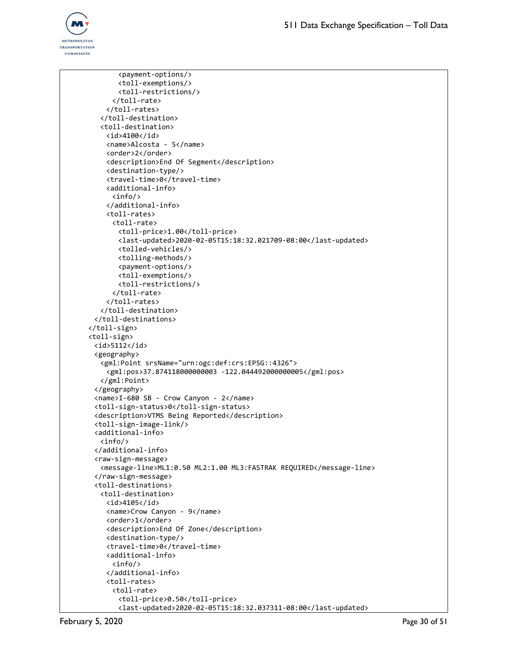

<payment-options/> <toll-exemptions/> <toll-restrictions/> </toll-rate> </toll-rates> </toll-destination> <toll-destination> <id>4100</id> <name>Alcosta - 5</name> <order>2</order> <description>End Of Segment</description> <destination-type/> <travel-time>0</travel-time> <additional-info> <info/> </additional-info> <toll-rates> <toll-rate> <toll-price>1.00</toll-price> <last-updated>2020-02-05T15:18:32.021709-08:00</last-updated> <tolled-vehicles/> <tolling-methods/> <payment-options/> <toll-exemptions/> <toll-restrictions/> </toll-rate> </toll-rates> </toll-destination> </toll-destinations> </toll-sign> <toll-sign> <id>5112</id> <geography> <gml:Point srsName="urn:ogc:def:crs:EPSG::4326"> <gml:pos>37.874118000000003 -122.044492000000005</gml:pos> </gml:Point> </geography> <name>I-680 SB - Crow Canyon - 2</name> <toll-sign-status>0</toll-sign-status> <description>VTMS Being Reported</description> <toll-sign-image-link/> <additional-info> <info/> </additional-info> <raw-sign-message> <message-line>ML1:0.50 ML2:1.00 ML3:FASTRAK REQUIRED</message-line> </raw-sign-message> <toll-destinations> <toll-destination> <id>4105</id> <name>Crow Canyon - 9</name> <order>1</order> <description>End Of Zone</description> <destination-type/> <travel-time>0</travel-time> <additional-info>  $\langle$ info $/$ </additional-info> <toll-rates> <toll-rate> <toll-price>0.50</toll-price> <last-updated>2020-02-05T15:18:32.037311-08:00</last-updated>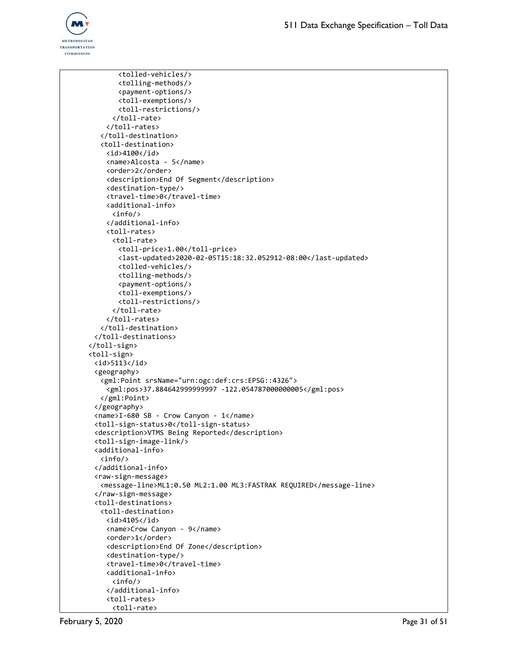

```
<tolled-vehicles/>
       <tolling-methods/>
       <payment-options/>
       <toll-exemptions/>
       <toll-restrictions/>
      </toll-rate>
    </toll-rates>
   </toll-destination>
   <toll-destination>
    <id>4100</id>
    <name>Alcosta - 5</name>
    <order>2</order>
    <description>End Of Segment</description>
    <destination-type/>
    <travel-time>0</travel-time>
    <additional-info>
      <info/>
    </additional-info>
    <toll-rates>
      <toll-rate>
       <toll-price>1.00</toll-price>
       <last-updated>2020-02-05T15:18:32.052912-08:00</last-updated>
       <tolled-vehicles/>
       <tolling-methods/>
       <payment-options/>
       <toll-exemptions/>
       <toll-restrictions/>
      </toll-rate>
    </toll-rates>
   </toll-destination>
 </toll-destinations>
</toll-sign>
<toll-sign>
 \langleid>5113\langleid>
 <geography>
   <gml:Point srsName="urn:ogc:def:crs:EPSG::4326">
    <gml:pos>37.884642999999997 -122.054787000000005</gml:pos>
   </gml:Point>
 </geography>
 <name>I-680 SB - Crow Canyon - 1</name>
 <toll-sign-status>0</toll-sign-status>
 <description>VTMS Being Reported</description>
 <toll-sign-image-link/>
 <additional-info>
   <info/>
 </additional-info>
 <raw-sign-message>
   <message-line>ML1:0.50 ML2:1.00 ML3:FASTRAK REQUIRED</message-line>
 </raw-sign-message>
 <toll-destinations>
   <toll-destination>
    <id>4105</id>
    <name>Crow Canyon - 9</name>
    <order>1</order>
    <description>End Of Zone</description>
    <destination-type/>
    <travel-time>0</travel-time>
    <additional-info>
      \langleinfo/</additional-info>
    <toll-rates>
      <toll-rate>
```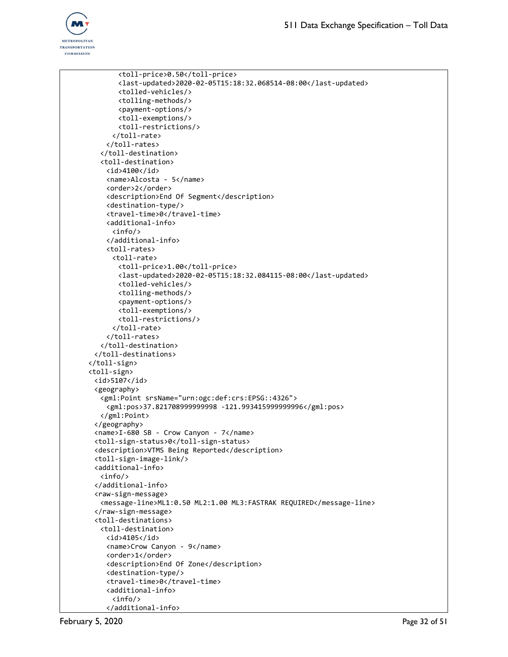

```
<toll-price>0.50</toll-price>
       <last-updated>2020-02-05T15:18:32.068514-08:00</last-updated>
       <tolled-vehicles/>
       <tolling-methods/>
       <payment-options/>
       <toll-exemptions/>
       <toll-restrictions/>
     </toll-rate>
    </toll-rates>
  </toll-destination>
   <toll-destination>
    <id>4100</id>
    <name>Alcosta - 5</name>
    <order>2</order>
    <description>End Of Segment</description>
    <destination-type/>
    <travel-time>0</travel-time>
    <additional-info>
     <info/>
    </additional-info>
    <toll-rates>
     <toll-rate>
       <toll-price>1.00</toll-price>
       <last-updated>2020-02-05T15:18:32.084115-08:00</last-updated>
       <tolled-vehicles/>
       <tolling-methods/>
       <payment-options/>
       <toll-exemptions/>
       <toll-restrictions/>
     </toll-rate>
    </toll-rates>
  </toll-destination>
 </toll-destinations>
</toll-sign>
<toll-sign>
 <id>5107</id>
 <geography>
   <gml:Point srsName="urn:ogc:def:crs:EPSG::4326">
    <gml:pos>37.821708999999998 -121.993415999999996</gml:pos>
  </gml:Point>
 </geography>
 <name>I-680 SB - Crow Canyon - 7</name>
 <toll-sign-status>0</toll-sign-status>
 <description>VTMS Being Reported</description>
 <toll-sign-image-link/>
 <additional-info>
  <info/>
 </additional-info>
 <raw-sign-message>
  <message-line>ML1:0.50 ML2:1.00 ML3:FASTRAK REQUIRED</message-line>
 </raw-sign-message>
 <toll-destinations>
  <toll-destination>
    <id>4105</id>
    <name>Crow Canyon - 9</name>
    <order>1</order>
    <description>End Of Zone</description>
    <destination-type/>
    <travel-time>0</travel-time>
    <additional-info>
     <info/>
    </additional-info>
```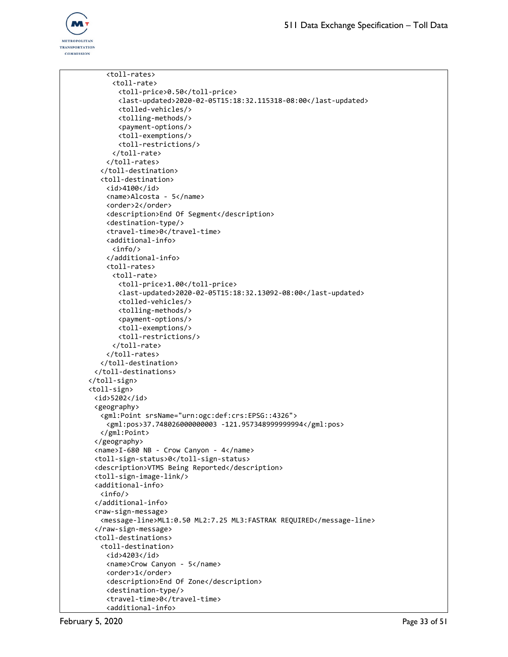

```
<toll-rates>
     <toll-rate>
       <toll-price>0.50</toll-price>
       <last-updated>2020-02-05T15:18:32.115318-08:00</last-updated>
       <tolled-vehicles/>
       <tolling-methods/>
       <payment-options/>
       <toll-exemptions/>
       <toll-restrictions/>
     </toll-rate>
    </toll-rates>
   </toll-destination>
   <toll-destination>
    <id>4100</id>
    <name>Alcosta - 5</name>
    <order>2</order>
    <description>End Of Segment</description>
    <destination-type/>
    <travel-time>0</travel-time>
    <additional-info>
     <info/>
    </additional-info>
    <toll-rates>
      <toll-rate>
       <toll-price>1.00</toll-price>
       <last-updated>2020-02-05T15:18:32.13092-08:00</last-updated>
       <tolled-vehicles/>
       <tolling-methods/>
       <payment-options/>
       <toll-exemptions/>
       <toll-restrictions/>
     </toll-rate>
    </toll-rates>
  </toll-destination>
 </toll-destinations>
</toll-sign>
<toll-sign>
 <id>5202</id>
 <geography>
   <gml:Point srsName="urn:ogc:def:crs:EPSG::4326">
    <gml:pos>37.748026000000003 -121.957348999999994</gml:pos>
  </gml:Point>
 </geography>
 <name>I-680 NB - Crow Canyon - 4</name>
 <toll-sign-status>0</toll-sign-status>
 <description>VTMS Being Reported</description>
 <toll-sign-image-link/>
 <additional-info>
  <info/>
 </additional-info>
 <raw-sign-message>
   <message-line>ML1:0.50 ML2:7.25 ML3:FASTRAK REQUIRED</message-line>
 </raw-sign-message>
 <toll-destinations>
  <toll-destination>
    <id>4203</id>
    <name>Crow Canyon - 5</name>
    <order>1</order>
    <description>End Of Zone</description>
    <destination-type/>
    <travel-time>0</travel-time>
    <additional-info>
```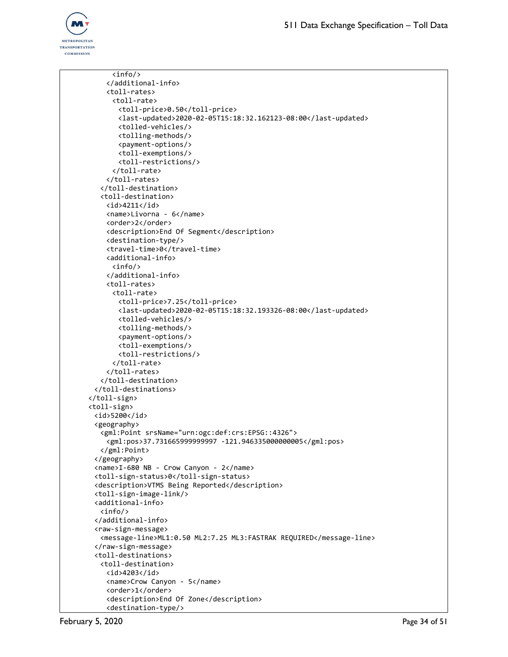

```
<info/>
    </additional-info>
    <toll-rates>
     <toll-rate>
       <toll-price>0.50</toll-price>
       <last-updated>2020-02-05T15:18:32.162123-08:00</last-updated>
       <tolled-vehicles/>
       <tolling-methods/>
       <payment-options/>
       <toll-exemptions/>
       <toll-restrictions/>
      </toll-rate>
    </toll-rates>
   </toll-destination>
   <toll-destination>
    <id>4211</id>
    <name>Livorna - 6</name>
    <order>2</order>
    <description>End Of Segment</description>
    <destination-type/>
    <travel-time>0</travel-time>
    <additional-info>
     <info/>
    </additional-info>
    <toll-rates>
     <toll-rate>
       <toll-price>7.25</toll-price>
       <last-updated>2020-02-05T15:18:32.193326-08:00</last-updated>
       <tolled-vehicles/>
       <tolling-methods/>
       <payment-options/>
       <toll-exemptions/>
       <toll-restrictions/>
     </toll-rate>
    </toll-rates>
   </toll-destination>
 </toll-destinations>
</toll-sign>
<toll-sign>
 <id>5200</id>
 <geography>
   <gml:Point srsName="urn:ogc:def:crs:EPSG::4326">
    <gml:pos>37.731665999999997 -121.946335000000005</gml:pos>
  </gml:Point>
 </geography>
 <name>I-680 NB - Crow Canyon - 2</name>
 <toll-sign-status>0</toll-sign-status>
 <description>VTMS Being Reported</description>
 <toll-sign-image-link/>
 <additional-info>
  <info/>
 </additional-info>
 <raw-sign-message>
   <message-line>ML1:0.50 ML2:7.25 ML3:FASTRAK REQUIRED</message-line>
 </raw-sign-message>
 <toll-destinations>
  <toll-destination>
    <id>4203</id>
    <name>Crow Canyon - 5</name>
    <order>1</order>
    <description>End Of Zone</description>
    <destination-type/>
```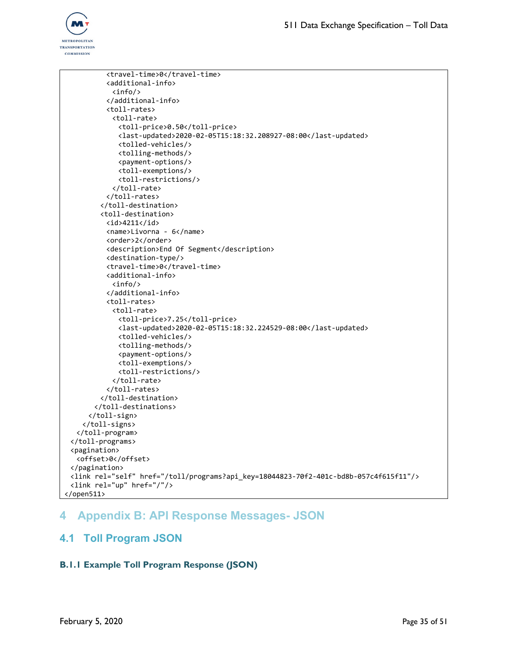

```
<travel-time>0</travel-time>
          <additional-info>
           <info/>
          </additional-info>
          <toll-rates>
           <toll-rate>
             <toll-price>0.50</toll-price>
             <last-updated>2020-02-05T15:18:32.208927-08:00</last-updated>
             <tolled-vehicles/>
             <tolling-methods/>
             <payment-options/>
             <toll-exemptions/>
             <toll-restrictions/>
           </toll-rate>
          </toll-rates>
        </toll-destination>
        <toll-destination>
          <id>4211</id>
          <name>Livorna - 6</name>
          <order>2</order>
          <description>End Of Segment</description>
          <destination-type/>
          <travel-time>0</travel-time>
          <additional-info>
           <info/>
          </additional-info>
          <toll-rates>
           <toll-rate>
             <toll-price>7.25</toll-price>
             <last-updated>2020-02-05T15:18:32.224529-08:00</last-updated>
             <tolled-vehicles/>
             <tolling-methods/>
             <payment-options/>
             <toll-exemptions/>
             <toll-restrictions/>
           </toll-rate>
          </toll-rates>
        </toll-destination>
       </toll-destinations>
     </toll-sign>
    </toll-signs>
  </toll-program>
 </toll-programs>
 <pagination>
  <offset>0</offset>
 </pagination>
 <link rel="self" href="/toll/programs?api_key=18044823-70f2-401c-bd8b-057c4f615f11"/>
 <link rel="up" href="/"/>
</open511>
```
# <span id="page-34-0"></span>**4 Appendix B: API Response Messages- JSON**

## <span id="page-34-2"></span><span id="page-34-1"></span>**4.1 Toll Program JSON**

### **B.1.1 Example Toll Program Response (JSON)**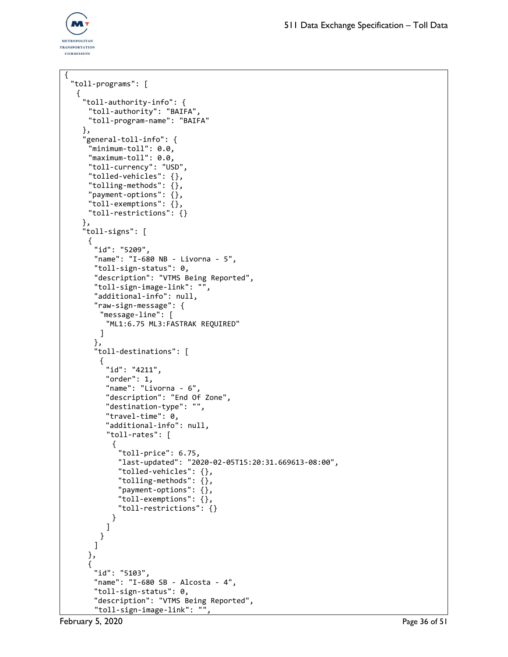

```
{
 "toll-programs": [
  {
    "toll-authority-info": {
     "toll-authority": "BAIFA",
     "toll-program-name": "BAIFA"
    },
    "general-toll-info": {
     "minimum-toll": 0.0,
     "maximum-toll": 0.0,
     "toll-currency": "USD",
     "tolled-vehicles": {},
     "tolling-methods": {},
     "payment-options": {},
     "toll-exemptions": {},
     "toll-restrictions": {}
    },
    "toll-signs": [
     {
      "id": "5209",
      "name": "I-680 NB - Livorna - 5",
      "toll-sign-status": 0,
      "description": "VTMS Being Reported",
      "toll-sign-image-link": "",
      "additional-info": null,
      "raw-sign-message": {
        "message-line": [
         "ML1:6.75 ML3:FASTRAK REQUIRED"
        ]
      },
      "toll-destinations": [
        {
         "id": "4211",
         "order": 1,
         "name": "Livorna - 6",
         "description": "End Of Zone",
         "destination-type": "",
         "travel-time": 0,
          "additional-info": null,
          "toll-rates": [
           {
            "toll-price": 6.75,
            "last-updated": "2020-02-05T15:20:31.669613-08:00",
            "tolled-vehicles": {},
            "tolling-methods": {},
            "payment-options": {},
            "toll-exemptions": {},
            "toll-restrictions": {}
           }
         ]
        }
      ]
     },
     {
      "id": "5103",
      "name": "I-680 SB - Alcosta - 4",
      "toll-sign-status": 0,
      "description": "VTMS Being Reported",
      "toll-sign-image-link": "",
```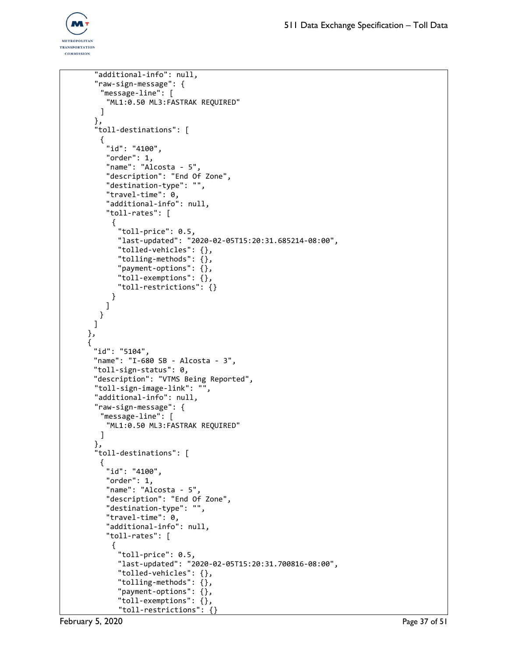

```
"additional-info": null,
 "raw-sign-message": {
   "message-line": [
    "ML1:0.50 ML3:FASTRAK REQUIRED"
   \mathbf{I}},
 "toll-destinations": [
   {
    "id": "4100",
    "order": 1,
    "name": "Alcosta - 5",
    "description": "End Of Zone",
    "destination-type": "",
    "travel-time": 0,
    "additional-info": null,
    "toll-rates": [
      {
       "toll-price": 0.5,
       "last-updated": "2020-02-05T15:20:31.685214-08:00",
       "tolled-vehicles": {},
       "tolling-methods": {},
       "payment-options": {},
       "toll-exemptions": {},
       "toll-restrictions": {}
     }
    ]
  }
 ]
},
{
 "id": "5104",
 "name": "I-680 SB - Alcosta - 3",
 "toll-sign-status": 0,
 "description": "VTMS Being Reported",
 "toll-sign-image-link": "",
 "additional-info": null,
 "raw-sign-message": {
   "message-line": [
    "ML1:0.50 ML3:FASTRAK REQUIRED"
   \mathbf{I}},
 "toll-destinations": [
   {
    "id": "4100",
    "order": 1,
    "name": "Alcosta - 5",
    "description": "End Of Zone",
    "destination-type": "",
    "travel-time": 0,
    "additional-info": null,
    "toll-rates": [
     {
       "toll-price": 0.5,
       "last-updated": "2020-02-05T15:20:31.700816-08:00",
       "tolled-vehicles": {},
       "tolling-methods": {},
       "payment-options": {},
       "toll-exemptions": {},
       "toll-restrictions": {}
```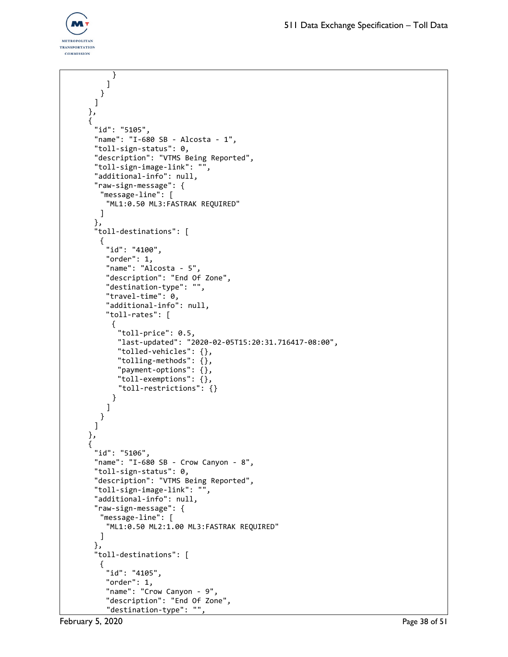

```
}
    ]
  }
 ]
},
{
 "id": "5105",
 "name": "I-680 SB - Alcosta - 1",
 "toll-sign-status": 0,
 "description": "VTMS Being Reported",
 "toll-sign-image-link": "",
 "additional-info": null,
 "raw-sign-message": {
  "message-line": [
    "ML1:0.50 ML3:FASTRAK REQUIRED"
  ]
 },
 "toll-destinations": [
  {
    "id": "4100",
    "order": 1,
    "name": "Alcosta - 5",
    "description": "End Of Zone",
    "destination-type": "",
    "travel-time": 0,
    "additional-info": null,
    "toll-rates": [
     {
       "toll-price": 0.5,
       "last-updated": "2020-02-05T15:20:31.716417-08:00",
       "tolled-vehicles": {},
       "tolling-methods": {},
       "payment-options": {},
       "toll-exemptions": {},
       "toll-restrictions": {}
     }
    ]
  }
 ]
},
{
 "id": "5106",
 "name": "I-680 SB - Crow Canyon - 8",
 "toll-sign-status": 0,
 "description": "VTMS Being Reported",
 "toll-sign-image-link": "",
 "additional-info": null,
 "raw-sign-message": {
  "message-line": [
    "ML1:0.50 ML2:1.00 ML3:FASTRAK REQUIRED"
  ]
 },
 "toll-destinations": [
  {
    "id": "4105",
    "order": 1,
    "name": "Crow Canyon - 9",
    "description": "End Of Zone",
    "destination-type": "",
```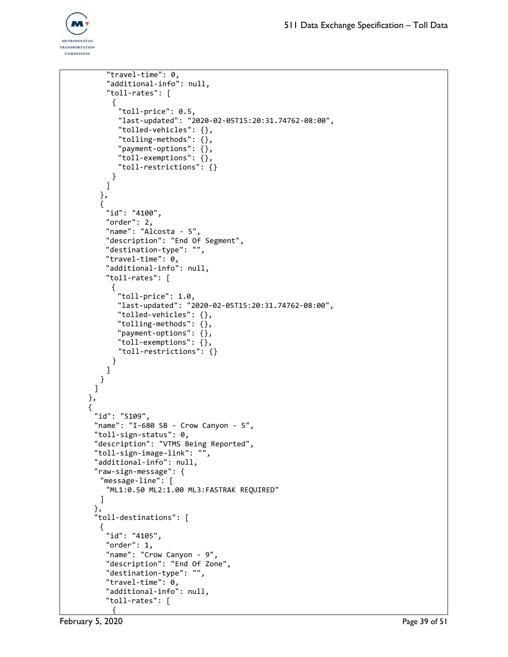

```
"travel-time": 0,
    "additional-info": null,
    "toll-rates": [
     {
       "toll-price": 0.5,
       "last-updated": "2020-02-05T15:20:31.74762-08:00",
       "tolled-vehicles": {},
       "tolling-methods": {},
       "payment-options": {},
       "toll-exemptions": {},
       "toll-restrictions": {}
     }
    ]
  },
  {
    "id": "4100",
    "order": 2,
    "name": "Alcosta - 5",
    "description": "End Of Segment",
    "destination-type": "",
    "travel-time": 0,
    "additional-info": null,
    "toll-rates": [
     {
       "toll-price": 1.0,
       "last-updated": "2020-02-05T15:20:31.74762-08:00",
       "tolled-vehicles": {},
       "tolling-methods": {},
       "payment-options": {},
       "toll-exemptions": {},
       "toll-restrictions": {}
     }
    ]
  }
 ]
},
{
 "id": "5109",
 "name": "I-680 SB - Crow Canyon - 5",
 "toll-sign-status": 0,
 "description": "VTMS Being Reported",
 "toll-sign-image-link": "",
 "additional-info": null,
 "raw-sign-message": {
  "message-line": [
    "ML1:0.50 ML2:1.00 ML3:FASTRAK REQUIRED"
  ]
 },
 "toll-destinations": [
  {
    "id": "4105",
    "order": 1,
    "name": "Crow Canyon - 9",
    "description": "End Of Zone",
    "destination-type": "",
    "travel-time": 0,
    "additional-info": null,
    "toll-rates": [
     {
```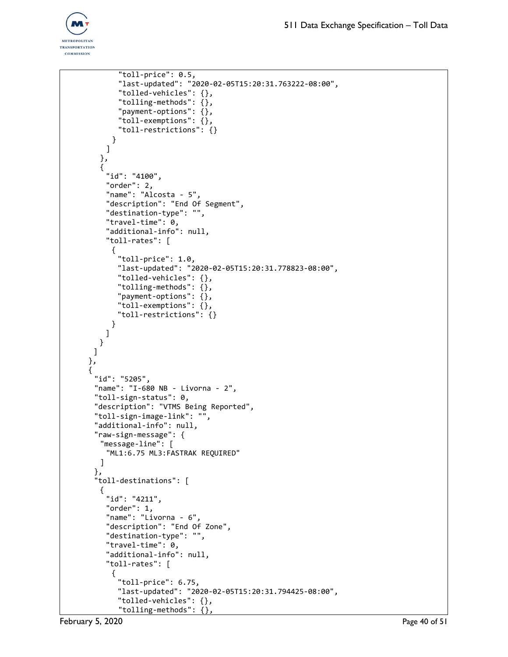

```
"toll-price": 0.5,
       "last-updated": "2020-02-05T15:20:31.763222-08:00",
       "tolled-vehicles": {},
       "tolling-methods": {},
       "payment-options": {},
       "toll-exemptions": {},
       "toll-restrictions": {}
     }
    ]
  },
  {
    "id": "4100",
    "order": 2,
    "name": "Alcosta - 5",
    "description": "End Of Segment",
    "destination-type": "",
    "travel-time": 0,
    "additional-info": null,
    "toll-rates": [
     {
       "toll-price": 1.0,
       "last-updated": "2020-02-05T15:20:31.778823-08:00",
       "tolled-vehicles": {},
       "tolling-methods": {},
       "payment-options": {},
       "toll-exemptions": {},
       "toll-restrictions": {}
     }
   ]
  }
 ]
},
{
 "id": "5205",
 "name": "I-680 NB - Livorna - 2",
 "toll-sign-status": 0,
 "description": "VTMS Being Reported",
 "toll-sign-image-link": "",
 "additional-info": null,
 "raw-sign-message": {
  "message-line": [
    "ML1:6.75 ML3:FASTRAK REQUIRED"
  ]
 },
 "toll-destinations": [
  {
    "id": "4211",
    "order": 1,
    "name": "Livorna - 6",
    "description": "End Of Zone",
    "destination-type": "",
    "travel-time": 0,
    "additional-info": null,
    "toll-rates": [
     {
       "toll-price": 6.75,
       "last-updated": "2020-02-05T15:20:31.794425-08:00",
       "tolled-vehicles": {},
       "tolling-methods": {},
```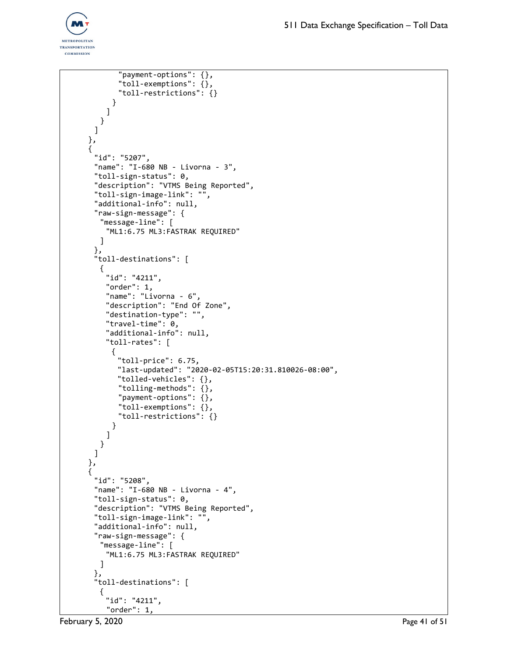

```
"payment-options": {},
       "toll-exemptions": {},
       "toll-restrictions": {}
     }
    ]
  }
 ]
},
{
 "id": "5207",
 "name": "I-680 NB - Livorna - 3",
 "toll-sign-status": 0,
 "description": "VTMS Being Reported",
 "toll-sign-image-link": "",
 "additional-info": null,
 "raw-sign-message": {
   "message-line": [
    "ML1:6.75 ML3:FASTRAK REQUIRED"
  ]
 },
 "toll-destinations": [
  {
    "id": "4211",
    "order": 1,
    "name": "Livorna - 6",
    "description": "End Of Zone",
    "destination-type": "",
    "travel-time": 0,
    "additional-info": null,
    "toll-rates": [
     {
       "toll-price": 6.75,
      "last-updated": "2020-02-05T15:20:31.810026-08:00",
       "tolled-vehicles": {},
       "tolling-methods": {},
       "payment-options": {},
       "toll-exemptions": {},
       "toll-restrictions": {}
     }
    ]
  }
 ]
},
{
 "id": "5208",
 "name": "I-680 NB - Livorna - 4",
 "toll-sign-status": 0,
 "description": "VTMS Being Reported",
 "toll-sign-image-link": "",
 "additional-info": null,
 "raw-sign-message": {
  "message-line": [
    "ML1:6.75 ML3:FASTRAK REQUIRED"
  ]
 },
 "toll-destinations": [
  {
    "id": "4211",
    "order": 1,
```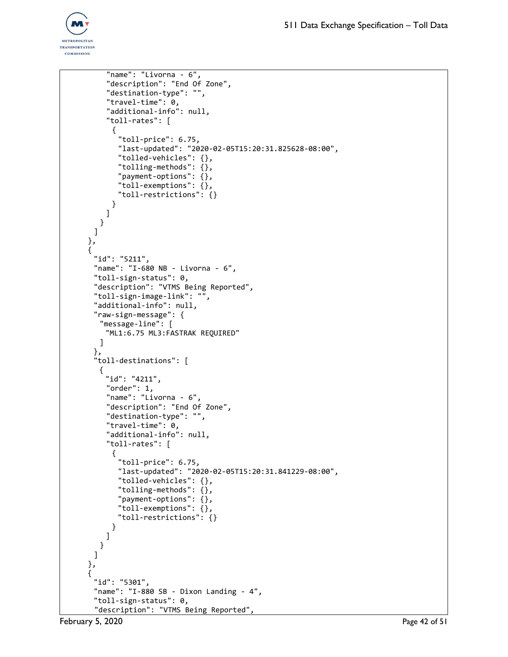```
"name": "Livorna - 6",
    "description": "End Of Zone",
    "destination-type": "",
    "travel-time": 0,
    "additional-info": null,
    "toll-rates": [
      {
       "toll-price": 6.75,
       "last-updated": "2020-02-05T15:20:31.825628-08:00",
       "tolled-vehicles": {},
       "tolling-methods": {},
       "payment-options": {},
       "toll-exemptions": {},
       "toll-restrictions": {}
     }
    ]
  }
 ]
},
{
 "id": "5211",
 "name": "I-680 NB - Livorna - 6",
 "toll-sign-status": 0,
 "description": "VTMS Being Reported",
 "toll-sign-image-link": "",
 "additional-info": null,
 "raw-sign-message": {
  "message-line": [
    "ML1:6.75 ML3:FASTRAK REQUIRED"
  ]
 },
 "toll-destinations": [
  {
    "id": "4211",
    "order": 1,
    "name": "Livorna - 6",
    "description": "End Of Zone",
    "destination-type": "",
    "travel-time": 0,
    "additional-info": null,
    "toll-rates": [
     {
       "toll-price": 6.75,
       "last-updated": "2020-02-05T15:20:31.841229-08:00",
       "tolled-vehicles": {},
       "tolling-methods": {},
       "payment-options": {},
       "toll-exemptions": {},
       "toll-restrictions": {}
     }
    ]
  }
 ]
},
{
 "id": "5301",
 "name": "I-880 SB - Dixon Landing - 4",
 "toll-sign-status": 0,
 "description": "VTMS Being Reported",
```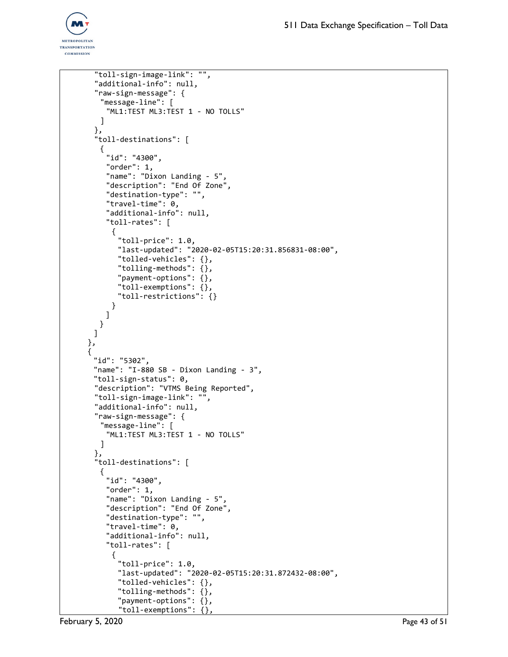```
"toll-sign-image-link": "",
 "additional-info": null,
 "raw-sign-message": {
   "message-line": [
    "ML1:TEST ML3:TEST 1 - NO TOLLS"
   \mathbf{I}},
 "toll-destinations": [
   {
    "id": "4300",
    "order": 1,
    "name": "Dixon Landing - 5",
    "description": "End Of Zone",
    "destination-type": "",
    "travel-time": 0,
    "additional-info": null,
    "toll-rates": [
     {
       "toll-price": 1.0,
       "last-updated": "2020-02-05T15:20:31.856831-08:00",
       "tolled-vehicles": {},
       "tolling-methods": {},
       "payment-options": {},
       "toll-exemptions": {},
       "toll-restrictions": {}
     }
    ]
  }
 ]
},
{
 "id": "5302",
 "name": "I-880 SB - Dixon Landing - 3",
 "toll-sign-status": 0,
 "description": "VTMS Being Reported",
 "toll-sign-image-link": "",
 "additional-info": null,
 "raw-sign-message": {
   "message-line": [
    "ML1:TEST ML3:TEST 1 - NO TOLLS"
  ]
 },
 "toll-destinations": [
   {
    "id": "4300",
    "order": 1,
    "name": "Dixon Landing - 5",
    "description": "End Of Zone",
    "destination-type": "",
    "travel-time": 0,
    "additional-info": null,
    "toll-rates": [
     {
       "toll-price": 1.0,
       "last-updated": "2020-02-05T15:20:31.872432-08:00",
       "tolled-vehicles": {},
       "tolling-methods": {},
       "payment-options": {},
       "toll-exemptions": {},
```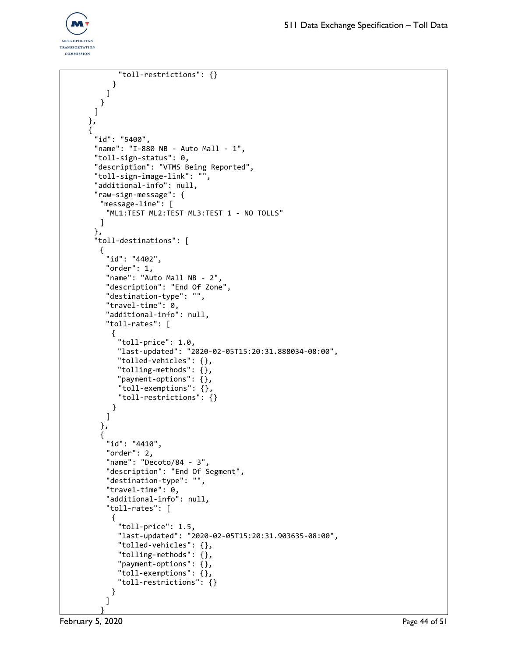```
"toll-restrictions": {}
     }
    ]
  }
 ]
},
{
 "id": "5400",
 "name": "I-880 NB - Auto Mall - 1",
 "toll-sign-status": 0,
 "description": "VTMS Being Reported",
 "toll-sign-image-link": "",
 "additional-info": null,
 "raw-sign-message": {
  "message-line": [
    "ML1:TEST ML2:TEST ML3:TEST 1 - NO TOLLS"
  ]
 },
 "toll-destinations": [
  {
    "id": "4402",
    "order": 1,
    "name": "Auto Mall NB - 2",
    "description": "End Of Zone",
    "destination-type": "",
    "travel-time": 0,
    "additional-info": null,
    "toll-rates": [
     \mathfrak{t}"toll-price": 1.0,
       "last-updated": "2020-02-05T15:20:31.888034-08:00",
       "tolled-vehicles": {},
       "tolling-methods": {},
       "payment-options": {},
       "toll-exemptions": {},
       "toll-restrictions": {}
     }
    ]
  },
  {
    "id": "4410",
    "order": 2,
    "name": "Decoto/84 - 3",
    "description": "End Of Segment",
    "destination-type": "",
    "travel-time": 0,
    "additional-info": null,
    "toll-rates": [
     {
       "toll-price": 1.5,
       "last-updated": "2020-02-05T15:20:31.903635-08:00",
       "tolled-vehicles": {},
       "tolling-methods": {},
       "payment-options": {},
       "toll-exemptions": {},
       "toll-restrictions": {}
     }
    ]
   }
```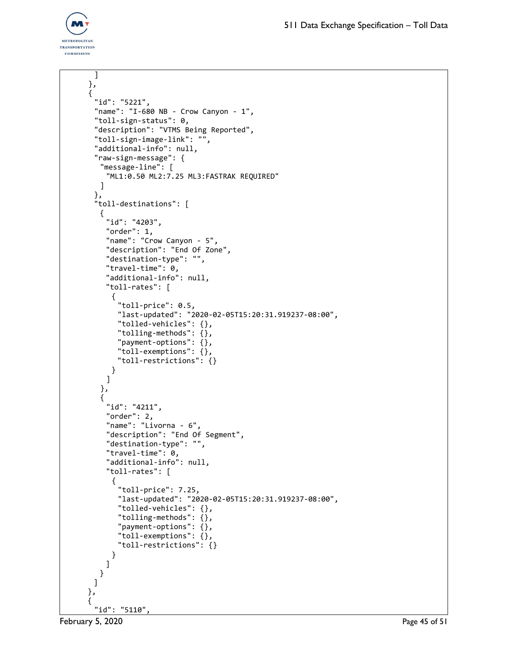

```
]
},
{
 "id": "5221",
 "name": "I-680 NB - Crow Canyon - 1",
 "toll-sign-status": 0,
 "description": "VTMS Being Reported",
 "toll-sign-image-link": "",
 "additional-info": null,
 "raw-sign-message": {
  "message-line": [
    "ML1:0.50 ML2:7.25 ML3:FASTRAK REQUIRED"
  ]
 },
 "toll-destinations": [
  {
    "id": "4203",
    "order": 1,
    "name": "Crow Canyon - 5",
    "description": "End Of Zone",
    "destination-type": "",
    "travel-time": 0,
    "additional-info": null,
    "toll-rates": [
     {
       "toll-price": 0.5,
       "last-updated": "2020-02-05T15:20:31.919237-08:00",
       "tolled-vehicles": {},
       "tolling-methods": {},
       "payment-options": {},
       "toll-exemptions": {},
       "toll-restrictions": {}
     }
    ]
  },
   {
    "id": "4211",
    "order": 2,
    "name": "Livorna - 6",
    "description": "End Of Segment",
    "destination-type": "",
    "travel-time": 0,
    "additional-info": null,
    "toll-rates": [
     {
       "toll-price": 7.25,
       "last-updated": "2020-02-05T15:20:31.919237-08:00",
       "tolled-vehicles": {},
       "tolling-methods": {},
       "payment-options": {},
       "toll-exemptions": {},
       "toll-restrictions": {}
     }
    ]
  }
 ]
},
{
 "id": "5110",
```
February 5, 2020 **Page 45 of 51**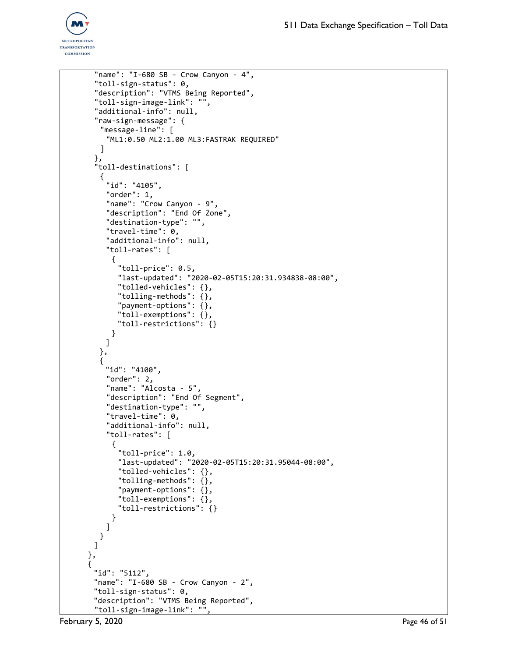

```
"name": "I-680 SB - Crow Canyon - 4",
 "toll-sign-status": 0,
 "description": "VTMS Being Reported",
 "toll-sign-image-link": "",
 "additional-info": null,
 "raw-sign-message": {
  "message-line": [
    "ML1:0.50 ML2:1.00 ML3:FASTRAK REQUIRED"
  ]
 },
 "toll-destinations": [
   {
    "id": "4105",
    "order": 1,
    "name": "Crow Canyon - 9",
    "description": "End Of Zone",
    "destination-type": "",
    "travel-time": 0,
    "additional-info": null,
    "toll-rates": [
     {
       "toll-price": 0.5,
      "last-updated": "2020-02-05T15:20:31.934838-08:00",
       "tolled-vehicles": {},
       "tolling-methods": {},
       "payment-options": {},
       "toll-exemptions": {},
       "toll-restrictions": {}
     }
    ]
  },
  {
    "id": "4100",
    "order": 2,
    "name": "Alcosta - 5",
    "description": "End Of Segment",
    "destination-type": "",
    "travel-time": 0,
    "additional-info": null,
    "toll-rates": [
     {
       "toll-price": 1.0,
       "last-updated": "2020-02-05T15:20:31.95044-08:00",
       "tolled-vehicles": {},
       "tolling-methods": {},
       "payment-options": {},
       "toll-exemptions": {},
       "toll-restrictions": {}
     }
   ]
  }
 ]
},
{
 "id": "5112",
 "name": "I-680 SB - Crow Canyon - 2",
 "toll-sign-status": 0,
 "description": "VTMS Being Reported",
 "toll-sign-image-link": "",
```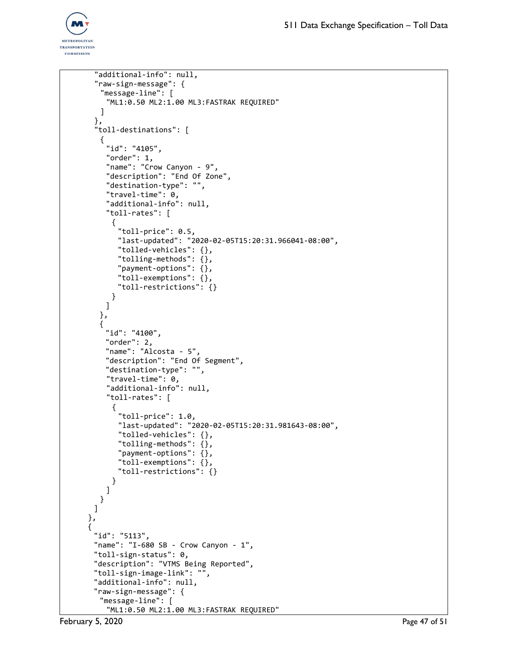

```
"additional-info": null,
 "raw-sign-message": {
  "message-line": [
    "ML1:0.50 ML2:1.00 ML3:FASTRAK REQUIRED"
  ]
 },
 "toll-destinations": [
  {
    "id": "4105",
    "order": 1,
    "name": "Crow Canyon - 9",
    "description": "End Of Zone",
    "destination-type": "",
    "travel-time": 0,
    "additional-info": null,
    "toll-rates": [
     {
       "toll-price": 0.5,
       "last-updated": "2020-02-05T15:20:31.966041-08:00",
       "tolled-vehicles": {},
       "tolling-methods": {},
       "payment-options": {},
       "toll-exemptions": {},
       "toll-restrictions": {}
     }
    ]
  },
  {
    "id": "4100",
    "order": 2,
    "name": "Alcosta - 5",
    "description": "End Of Segment",
    "destination-type": "",
    "travel-time": 0,
    "additional-info": null,
    "toll-rates": [
     {
       "toll-price": 1.0,
       "last-updated": "2020-02-05T15:20:31.981643-08:00",
       "tolled-vehicles": {},
       "tolling-methods": {},
       "payment-options": {},
       "toll-exemptions": {},
       "toll-restrictions": {}
     }
    ]
  }
 ]
},
{
 "id": "5113",
 "name": "I-680 SB - Crow Canyon - 1",
 "toll-sign-status": 0,
 "description": "VTMS Being Reported",
 "toll-sign-image-link": "",
 "additional-info": null,
 "raw-sign-message": {
  "message-line": [
    "ML1:0.50 ML2:1.00 ML3:FASTRAK REQUIRED"
```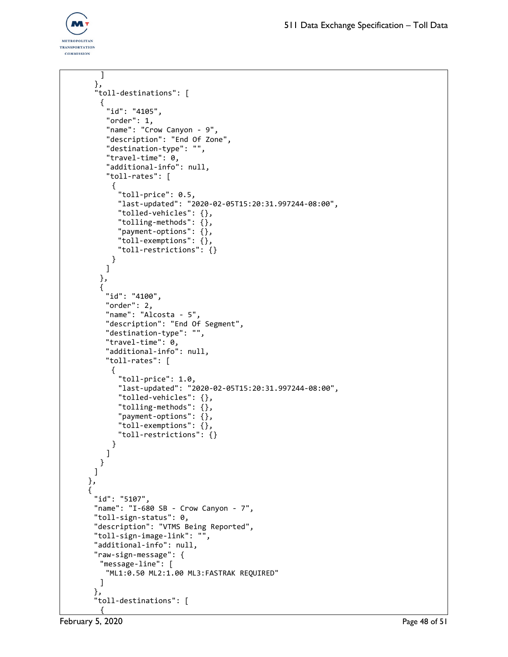

```
]
 },
 "toll-destinations": [
   {
    "id": "4105",
    "order": 1,
    "name": "Crow Canyon - 9",
    "description": "End Of Zone",
    "destination-type": "",
    "travel-time": 0,
    "additional-info": null,
    "toll-rates": [
     {
       "toll-price": 0.5,
       "last-updated": "2020-02-05T15:20:31.997244-08:00",
       "tolled-vehicles": {},
       "tolling-methods": {},
       "payment-options": {},
       "toll-exemptions": {},
       "toll-restrictions": {}
     }
    ]
  },
  {
    "id": "4100",
    "order": 2,
    "name": "Alcosta - 5",
    "description": "End Of Segment",
    "destination-type": "",
    "travel-time": 0,
    "additional-info": null,
    "toll-rates": [
     {
       "toll-price": 1.0,
       "last-updated": "2020-02-05T15:20:31.997244-08:00",
       "tolled-vehicles": {},
       "tolling-methods": {},
       "payment-options": {},
       "toll-exemptions": {},
       "toll-restrictions": {}
     }
    ]
  }
 ]
},
{
 "id": "5107",
 "name": "I-680 SB - Crow Canyon - 7",
 "toll-sign-status": 0,
 "description": "VTMS Being Reported",
 "toll-sign-image-link": "",
 "additional-info": null,
 "raw-sign-message": {
  "message-line": [
    "ML1:0.50 ML2:1.00 ML3:FASTRAK REQUIRED"
  ]
 },
 "toll-destinations": [
  {
```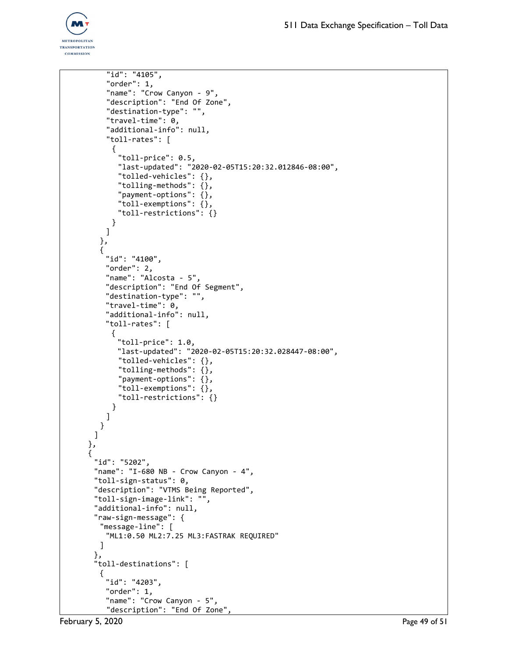

```
"id": "4105",
    "order": 1,
    "name": "Crow Canyon - 9",
    "description": "End Of Zone",
    "destination-type": "",
    "travel-time": 0,
    "additional-info": null,
    "toll-rates": [
     {
       "toll-price": 0.5,
       "last-updated": "2020-02-05T15:20:32.012846-08:00",
       "tolled-vehicles": {},
       "tolling-methods": {},
       "payment-options": {},
       "toll-exemptions": {},
       "toll-restrictions": {}
     }
    ]
  },
  {
    "id": "4100",
    "order": 2,
    "name": "Alcosta - 5",
    "description": "End Of Segment",
    "destination-type": "",
    "travel-time": 0,
    "additional-info": null,
    "toll-rates": [
     \mathfrak{t}"toll-price": 1.0,
       "last-updated": "2020-02-05T15:20:32.028447-08:00",
       "tolled-vehicles": {},
       "tolling-methods": {},
       "payment-options": {},
       "toll-exemptions": {},
       "toll-restrictions": {}
     }
    ]
  }
 ]
},
{
 "id": "5202",
 "name": "I-680 NB - Crow Canyon - 4",
 "toll-sign-status": 0,
 "description": "VTMS Being Reported",
 "toll-sign-image-link": "",
 "additional-info": null,
 "raw-sign-message": {
  "message-line": [
    "ML1:0.50 ML2:7.25 ML3:FASTRAK REQUIRED"
  ]
 },
 "toll-destinations": [
  {
    "id": "4203",
    "order": 1,
    "name": "Crow Canyon - 5",
    "description": "End Of Zone",
```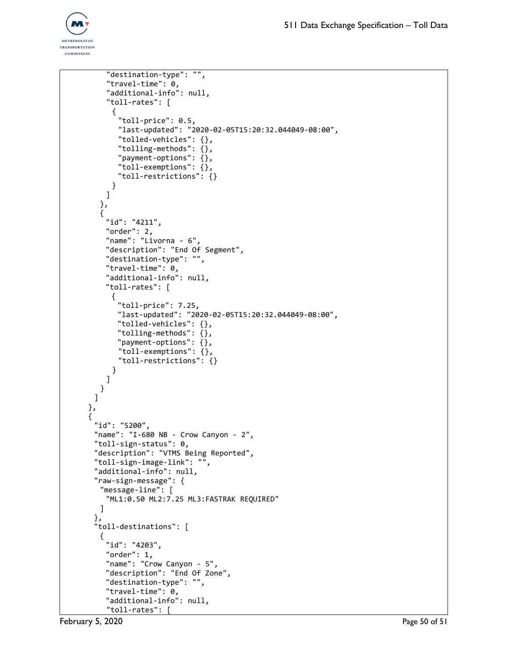```
"destination-type": "",
    "travel-time": 0,
    "additional-info": null,
    "toll-rates": [
      {
       "toll-price": 0.5,
       "last-updated": "2020-02-05T15:20:32.044049-08:00",
       "tolled-vehicles": {},
       "tolling-methods": {},
       "payment-options": {},
       "toll-exemptions": {},
       "toll-restrictions": {}
     }
    ]
  },
  {
    "id": "4211",
    "order": 2,
    "name": "Livorna - 6",
    "description": "End Of Segment",
    "destination-type": "",
    "travel-time": 0,
    "additional-info": null,
    "toll-rates": [
     {
       "toll-price": 7.25,
       "last-updated": "2020-02-05T15:20:32.044049-08:00",
       "tolled-vehicles": {},
       "tolling-methods": {},
       "payment-options": {},
       "toll-exemptions": {},
       "toll-restrictions": {}
     }
    ]
  }
 ]
},
{
 "id": "5200",
 "name": "I-680 NB - Crow Canyon - 2",
 "toll-sign-status": 0,
 "description": "VTMS Being Reported",
 "toll-sign-image-link": "",
 "additional-info": null,
 "raw-sign-message": {
  "message-line": [
    "ML1:0.50 ML2:7.25 ML3:FASTRAK REQUIRED"
  ]
 },
 "toll-destinations": [
  {
    "id": "4203",
    "order": 1,
    "name": "Crow Canyon - 5",
    "description": "End Of Zone",
    "destination-type": "",
    "travel-time": 0,
    "additional-info": null,
    "toll-rates": [
```